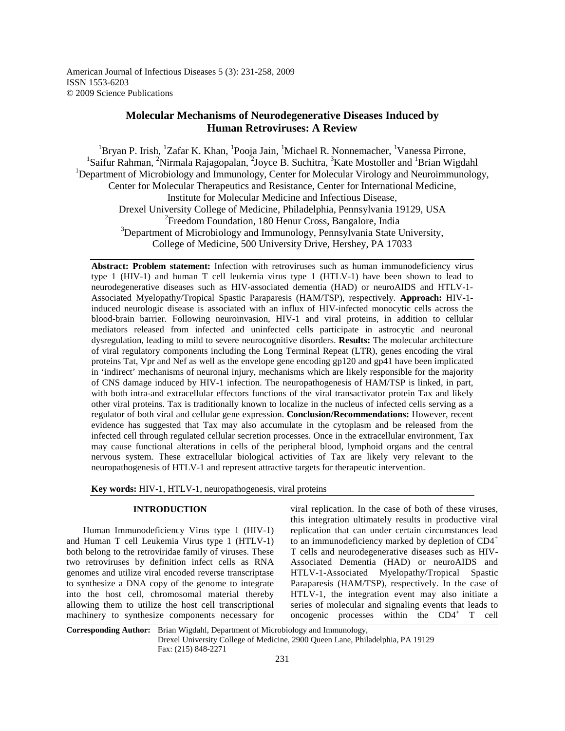American Journal of Infectious Diseases 5 (3): 231-258, 2009 ISSN 1553-6203 © 2009 Science Publications

# **Molecular Mechanisms of Neurodegenerative Diseases Induced by Human Retroviruses: A Review**

<sup>1</sup>Bryan P. Irish, <sup>1</sup>Zafar K. Khan, <sup>1</sup>Pooja Jain, <sup>1</sup>Michael R. Nonnemacher, <sup>1</sup>Vanessa Pirrone, <sup>1</sup>Saifur Rahman, <sup>2</sup>Nirmala Rajagopalan, <sup>2</sup>Joyce B. Suchitra, <sup>3</sup>Kate Mostoller and <sup>1</sup>Brian Wigdahl <sup>1</sup>Department of Microbiology and Immunology, Center for Molecular Virology and Neuroimmunology, Center for Molecular Therapeutics and Resistance, Center for International Medicine, Institute for Molecular Medicine and Infectious Disease, Drexel University College of Medicine, Philadelphia, Pennsylvania 19129, USA <sup>2</sup> Freedom Foundation, 180 Henur Cross, Bangalore, India  $3$ Department of Microbiology and Immunology, Pennsylvania State University, College of Medicine, 500 University Drive, Hershey, PA 17033

**Abstract: Problem statement:** Infection with retroviruses such as human immunodeficiency virus type 1 (HIV-1) and human T cell leukemia virus type 1 (HTLV-1) have been shown to lead to neurodegenerative diseases such as HIV-associated dementia (HAD) or neuroAIDS and HTLV-1- Associated Myelopathy/Tropical Spastic Paraparesis (HAM/TSP), respectively. **Approach:** HIV-1 induced neurologic disease is associated with an influx of HIV-infected monocytic cells across the blood-brain barrier. Following neuroinvasion, HIV-1 and viral proteins, in addition to cellular mediators released from infected and uninfected cells participate in astrocytic and neuronal dysregulation, leading to mild to severe neurocognitive disorders. **Results:** The molecular architecture of viral regulatory components including the Long Terminal Repeat (LTR), genes encoding the viral proteins Tat, Vpr and Nef as well as the envelope gene encoding gp120 and gp41 have been implicated in 'indirect' mechanisms of neuronal injury, mechanisms which are likely responsible for the majority of CNS damage induced by HIV-1 infection. The neuropathogenesis of HAM/TSP is linked, in part, with both intra-and extracellular effectors functions of the viral transactivator protein Tax and likely other viral proteins. Tax is traditionally known to localize in the nucleus of infected cells serving as a regulator of both viral and cellular gene expression. **Conclusion/Recommendations:** However, recent evidence has suggested that Tax may also accumulate in the cytoplasm and be released from the infected cell through regulated cellular secretion processes. Once in the extracellular environment, Tax may cause functional alterations in cells of the peripheral blood, lymphoid organs and the central nervous system. These extracellular biological activities of Tax are likely very relevant to the neuropathogenesis of HTLV-1 and represent attractive targets for therapeutic intervention.

**Key words:** HIV-1, HTLV-1, neuropathogenesis, viral proteins

### **INTRODUCTION**

 Human Immunodeficiency Virus type 1 (HIV-1) and Human T cell Leukemia Virus type 1 (HTLV-1) both belong to the retroviridae family of viruses. These two retroviruses by definition infect cells as RNA genomes and utilize viral encoded reverse transcriptase to synthesize a DNA copy of the genome to integrate into the host cell, chromosomal material thereby allowing them to utilize the host cell transcriptional machinery to synthesize components necessary for viral replication. In the case of both of these viruses, this integration ultimately results in productive viral replication that can under certain circumstances lead to an immunodeficiency marked by depletion of CD4<sup>+</sup> T cells and neurodegenerative diseases such as HIV-Associated Dementia (HAD) or neuroAIDS and HTLV-1-Associated Myelopathy/Tropical Spastic Paraparesis (HAM/TSP), respectively. In the case of HTLV-1, the integration event may also initiate a series of molecular and signaling events that leads to oncogenic processes within the CD4<sup>+</sup> T cell

**Corresponding Author:** Brian Wigdahl, Department of Microbiology and Immunology,

Drexel University College of Medicine, 2900 Queen Lane, Philadelphia, PA 19129 Fax: (215) 848-2271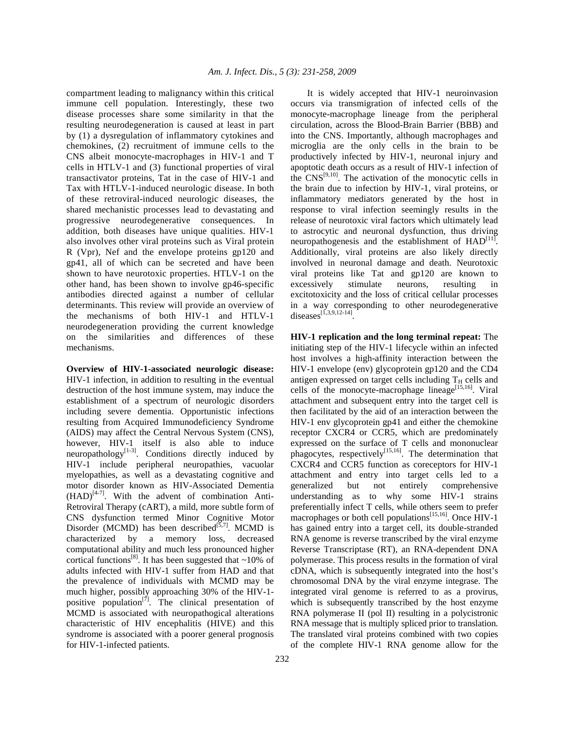compartment leading to malignancy within this critical immune cell population. Interestingly, these two disease processes share some similarity in that the resulting neurodegeneration is caused at least in part by (1) a dysregulation of inflammatory cytokines and chemokines, (2) recruitment of immune cells to the CNS albeit monocyte-macrophages in HIV-1 and T cells in HTLV-1 and (3) functional properties of viral transactivator proteins, Tat in the case of HIV-1 and Tax with HTLV-1-induced neurologic disease. In both of these retroviral-induced neurologic diseases, the shared mechanistic processes lead to devastating and progressive neurodegenerative consequences. In addition, both diseases have unique qualities. HIV-1 also involves other viral proteins such as Viral protein R (Vpr), Nef and the envelope proteins gp120 and gp41, all of which can be secreted and have been shown to have neurotoxic properties. HTLV-1 on the other hand, has been shown to involve gp46-specific antibodies directed against a number of cellular determinants. This review will provide an overview of the mechanisms of both HIV-1 and HTLV-1 neurodegeneration providing the current knowledge on the similarities and differences of these mechanisms.

**Overview of HIV-1-associated neurologic disease:**  HIV-1 infection, in addition to resulting in the eventual destruction of the host immune system, may induce the establishment of a spectrum of neurologic disorders including severe dementia. Opportunistic infections resulting from Acquired Immunodeficiency Syndrome (AIDS) may affect the Central Nervous System (CNS), however, HIV-1 itself is also able to induce neuropathology<sup>[1-3]</sup>. Conditions directly induced by HIV-1 include peripheral neuropathies, vacuolar myelopathies, as well as a devastating cognitive and motor disorder known as HIV-Associated Dementia  $(HAD)^{[4-7]}$ . With the advent of combination Anti-Retroviral Therapy (cART), a mild, more subtle form of CNS dysfunction termed Minor Cognitive Motor Disorder (MCMD) has been described $[5,7]$ . MCMD is characterized by a memory loss, decreased computational ability and much less pronounced higher cortical functions<sup>[8]</sup>. It has been suggested that  $\sim$ 10% of adults infected with HIV-1 suffer from HAD and that the prevalence of individuals with MCMD may be much higher, possibly approaching 30% of the HIV-1 positive population<sup>[7]</sup>. The clinical presentation of MCMD is associated with neuropathogical alterations characteristic of HIV encephalitis (HIVE) and this syndrome is associated with a poorer general prognosis for HIV-1-infected patients.

 It is widely accepted that HIV-1 neuroinvasion occurs via transmigration of infected cells of the monocyte-macrophage lineage from the peripheral circulation, across the Blood-Brain Barrier (BBB) and into the CNS. Importantly, although macrophages and microglia are the only cells in the brain to be productively infected by HIV-1, neuronal injury and apoptotic death occurs as a result of HIV-1 infection of the  $CNS^{[9,10]}$ . The activation of the monocytic cells in the brain due to infection by HIV-1, viral proteins, or inflammatory mediators generated by the host in response to viral infection seemingly results in the release of neurotoxic viral factors which ultimately lead to astrocytic and neuronal dysfunction, thus driving neuropathogenesis and the establishment of  $HAD^{[11]}$ . Additionally, viral proteins are also likely directly involved in neuronal damage and death. Neurotoxic viral proteins like Tat and gp120 are known to excessively stimulate neurons, resulting in excitotoxicity and the loss of critical cellular processes in a way corresponding to other neurodegenerative diseases<sup>[1,3,9,12-14]</sup>.

**HIV-1 replication and the long terminal repeat:** The initiating step of the HIV-1 lifecycle within an infected host involves a high-affinity interaction between the HIV-1 envelope (env) glycoprotein gp120 and the CD4 antigen expressed on target cells including  $T_H$  cells and cells of the monocyte-macrophage lineage<sup>[15,16]</sup>. Viral attachment and subsequent entry into the target cell is then facilitated by the aid of an interaction between the HIV-1 env glycoprotein gp41 and either the chemokine receptor CXCR4 or CCR5, which are predominately expressed on the surface of T cells and mononuclear phagocytes, respectively<sup>[15,16]</sup>. The determination that CXCR4 and CCR5 function as coreceptors for HIV-1 attachment and entry into target cells led to a generalized but not entirely comprehensive understanding as to why some HIV-1 strains preferentially infect T cells, while others seem to prefer macrophages or both cell populations<sup>[15,16]</sup>. Once HIV-1 has gained entry into a target cell, its double-stranded RNA genome is reverse transcribed by the viral enzyme Reverse Transcriptase (RT), an RNA-dependent DNA polymerase. This process results in the formation of viral cDNA, which is subsequently integrated into the host's chromosomal DNA by the viral enzyme integrase. The integrated viral genome is referred to as a provirus, which is subsequently transcribed by the host enzyme RNA polymerase II (pol II) resulting in a polycistronic RNA message that is multiply spliced prior to translation. The translated viral proteins combined with two copies of the complete HIV-1 RNA genome allow for the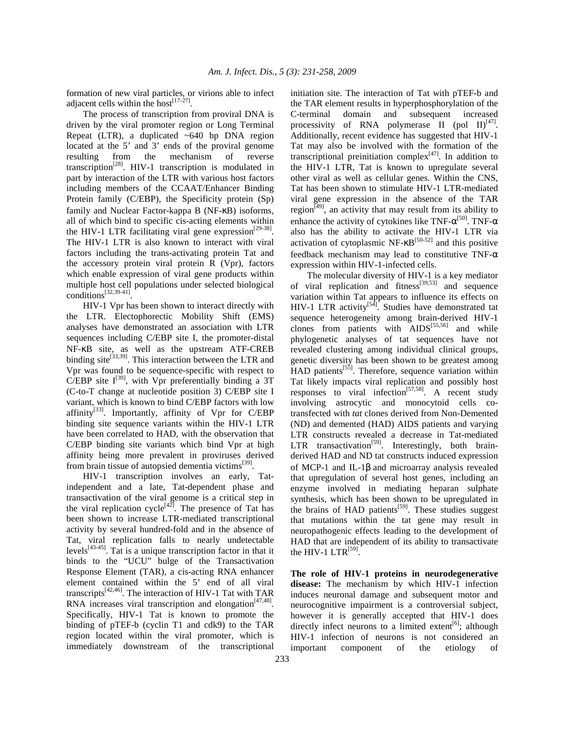formation of new viral particles, or virions able to infect adjacent cells within the host $[17-27]$ .

 The process of transcription from proviral DNA is driven by the viral promoter region or Long Terminal Repeat (LTR), a duplicated  $~640$  bp DNA region located at the 5' and 3' ends of the proviral genome resulting from the mechanism of reverse transcription[28]. HIV-1 transcription is modulated in part by interaction of the LTR with various host factors including members of the CCAAT/Enhancer Binding Protein family (C/EBP), the Specificity protein (Sp) family and Nuclear Factor-kappa B (NF-κB) isoforms, all of which bind to specific cis-acting elements within the HIV-1 LTR facilitating viral gene expression<sup>[29-38]</sup>. The HIV-1 LTR is also known to interact with viral factors including the trans-activating protein Tat and the accessory protein viral protein R (Vpr), factors which enable expression of viral gene products within multiple host cell populations under selected biological conditions[32,39-41] .

 HIV-1 Vpr has been shown to interact directly with the LTR. Electophorectic Mobility Shift (EMS) analyses have demonstrated an association with LTR sequences including C/EBP site I, the promoter-distal NF-κB site, as well as the upstream ATF-CREB binding site<sup>[33,39]</sup>. This interaction between the LTR and Vpr was found to be sequence-specific with respect to  $C/EBP$  site I<sup>[39]</sup>, with Vpr preferentially binding a 3T (C-to-T change at nucleotide position 3) C/EBP site I variant, which is known to bind C/EBP factors with low affinity<sup>[33]</sup>. Importantly, affinity of Vpr for C/EBP binding site sequence variants within the HIV-1 LTR have been correlated to HAD, with the observation that C/EBP binding site variants which bind Vpr at high affinity being more prevalent in proviruses derived from brain tissue of autopsied dementia victims<sup>[39]</sup>.

 HIV-1 transcription involves an early, Tatindependent and a late, Tat-dependent phase and transactivation of the viral genome is a critical step in the viral replication cycle<sup>[42]</sup>. The presence of Tat has been shown to increase LTR-mediated transcriptional activity by several hundred-fold and in the absence of Tat, viral replication falls to nearly undetectable levels $[43-45]$ . Tat is a unique transcription factor in that it binds to the "UCU" bulge of the Transactivation Response Element (TAR), a cis-acting RNA enhancer element contained within the 5' end of all viral transcripts[42,46]. The interaction of HIV-1 Tat with TAR RNA increases viral transcription and elongation $[47,48]$ . Specifically, HIV-1 Tat is known to promote the binding of pTEF-b (cyclin T1 and cdk9) to the TAR region located within the viral promoter, which is immediately downstream of the transcriptional

initiation site. The interaction of Tat with pTEF-b and the TAR element results in hyperphosphorylation of the C-terminal domain and subsequent increased processivity of RNA polymerase II (pol II) $^{[47]}$ . Additionally, recent evidence has suggested that HIV-1 Tat may also be involved with the formation of the transcriptional preinitiation complex $[47]$ . In addition to the HIV-1 LTR, Tat is known to upregulate several other viral as well as cellular genes. Within the CNS, Tat has been shown to stimulate HIV-1 LTR-mediated viral gene expression in the absence of the TAR region<sup> $[49]$ </sup>, an activity that may result from its ability to enhance the activity of cytokines like TNF- $\alpha$ <sup>[50]</sup>. TNF- $\alpha$ also has the ability to activate the HIV-1 LTR via activation of cytoplasmic NF- $\kappa$ B<sup>[50-52]</sup> and this positive feedback mechanism may lead to constitutive TNF- $\alpha$ expression within HIV-1-infected cells.

 The molecular diversity of HIV-1 is a key mediator of viral replication and fitness<sup>[39,53]</sup> and sequence variation within Tat appears to influence its effects on HIV-1 LTR activity $[54]$ . Studies have demonstrated tat sequence heterogeneity among brain-derived HIV-1 clones from patients with  $AIDS^{[55,56]}$  and while phylogenetic analyses of tat sequences have not revealed clustering among individual clinical groups, genetic diversity has been shown to be greatest among  $HAD$  patients<sup>[55]</sup>. Therefore, sequence variation within Tat likely impacts viral replication and possibly host responses to viral infection<sup>[57,58]</sup>. A recent study involving astrocytic and monocytoid cells cotransfected with *tat* clones derived from Non-Demented (ND) and demented (HAD) AIDS patients and varying LTR constructs revealed a decrease in Tat-mediated LTR transactivation<sup>[59]</sup>. Interestingly, both brainderived HAD and ND tat constructs induced expression of MCP-1 and IL-1β and microarray analysis revealed that upregulation of several host genes, including an enzyme involved in mediating heparan sulphate synthesis, which has been shown to be upregulated in the brains of HAD patients $[59]$ . These studies suggest that mutations within the tat gene may result in neuropathogenic effects leading to the development of HAD that are independent of its ability to transactivate the HIV-1  $LTR^{[59]}$ .

**The role of HIV-1 proteins in neurodegenerative disease:** The mechanism by which HIV-1 infection induces neuronal damage and subsequent motor and neurocognitive impairment is a controversial subject, however it is generally accepted that HIV-1 does directly infect neurons to a limited extent<sup>[6]</sup>; although HIV-1 infection of neurons is not considered an important component of the etiology of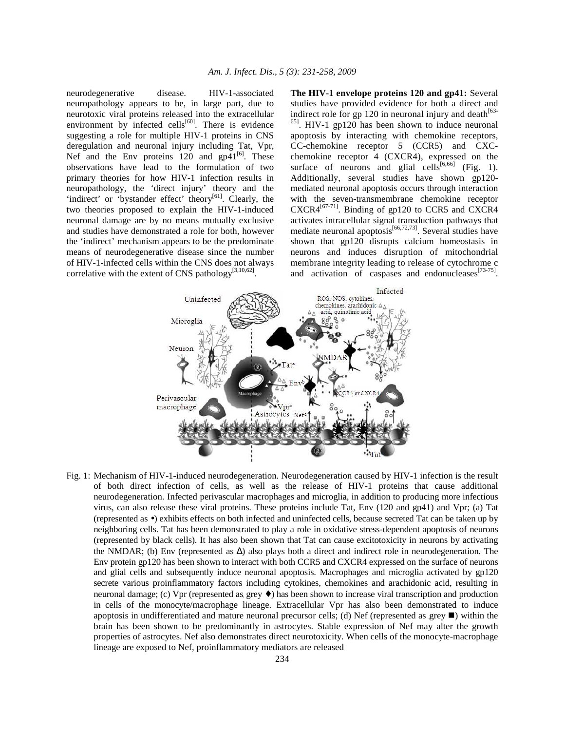neurodegenerative disease. HIV-1-associated neuropathology appears to be, in large part, due to neurotoxic viral proteins released into the extracellular environment by infected cells $[60]$ . There is evidence suggesting a role for multiple HIV-1 proteins in CNS deregulation and neuronal injury including Tat, Vpr, Nef and the Env proteins 120 and  $gp41^{[6]}$ . These observations have lead to the formulation of two primary theories for how HIV-1 infection results in neuropathology, the 'direct injury' theory and the 'indirect' or 'bystander effect' theory<sup>[61]</sup>. Clearly, the two theories proposed to explain the HIV-1-induced neuronal damage are by no means mutually exclusive and studies have demonstrated a role for both, however the 'indirect' mechanism appears to be the predominate means of neurodegenerative disease since the number of HIV-1-infected cells within the CNS does not always correlative with the extent of CNS pathology<sup>[3,10,62]</sup>.

**The HIV-1 envelope proteins 120 and gp41:** Several studies have provided evidence for both a direct and indirect role for gp 120 in neuronal injury and death $^{[63]}$ <sup>65]</sup>. HIV-1 gp120 has been shown to induce neuronal apoptosis by interacting with chemokine receptors, CC-chemokine receptor 5 (CCR5) and CXCchemokine receptor 4 (CXCR4), expressed on the surface of neurons and glial cells<sup>[6,66]</sup> (Fig. 1). Additionally, several studies have shown gp120 mediated neuronal apoptosis occurs through interaction with the seven-transmembrane chemokine receptor  $CXCRA^{[67-71]}$ . Binding of gp120 to CCR5 and CXCR4 activates intracellular signal transduction pathways that mediate neuronal apoptosis $\begin{bmatrix}66,72,73\end{bmatrix}$ . Several studies have shown that gp120 disrupts calcium homeostasis in neurons and induces disruption of mitochondrial membrane integrity leading to release of cytochrome c and activation of caspases and endonucleases<sup>[73-75]</sup>.



Fig. 1: Mechanism of HIV-1-induced neurodegeneration. Neurodegeneration caused by HIV-1 infection is the result of both direct infection of cells, as well as the release of HIV-1 proteins that cause additional neurodegeneration. Infected perivascular macrophages and microglia, in addition to producing more infectious virus, can also release these viral proteins. These proteins include Tat, Env (120 and gp41) and Vpr; (a) Tat (represented as •) exhibits effects on both infected and uninfected cells, because secreted Tat can be taken up by neighboring cells. Tat has been demonstrated to play a role in oxidative stress-dependent apoptosis of neurons (represented by black cells). It has also been shown that Tat can cause excitotoxicity in neurons by activating the NMDAR; (b) Env (represented as ∆) also plays both a direct and indirect role in neurodegeneration. The Env protein gp120 has been shown to interact with both CCR5 and CXCR4 expressed on the surface of neurons and glial cells and subsequently induce neuronal apoptosis. Macrophages and microglia activated by gp120 secrete various proinflammatory factors including cytokines, chemokines and arachidonic acid, resulting in neuronal damage; (c) Vpr (represented as grey ♦) has been shown to increase viral transcription and production in cells of the monocyte/macrophage lineage. Extracellular Vpr has also been demonstrated to induce apoptosis in undifferentiated and mature neuronal precursor cells; (d) Nef (represented as grey  $\blacksquare$ ) within the brain has been shown to be predominantly in astrocytes. Stable expression of Nef may alter the growth properties of astrocytes. Nef also demonstrates direct neurotoxicity. When cells of the monocyte-macrophage lineage are exposed to Nef, proinflammatory mediators are released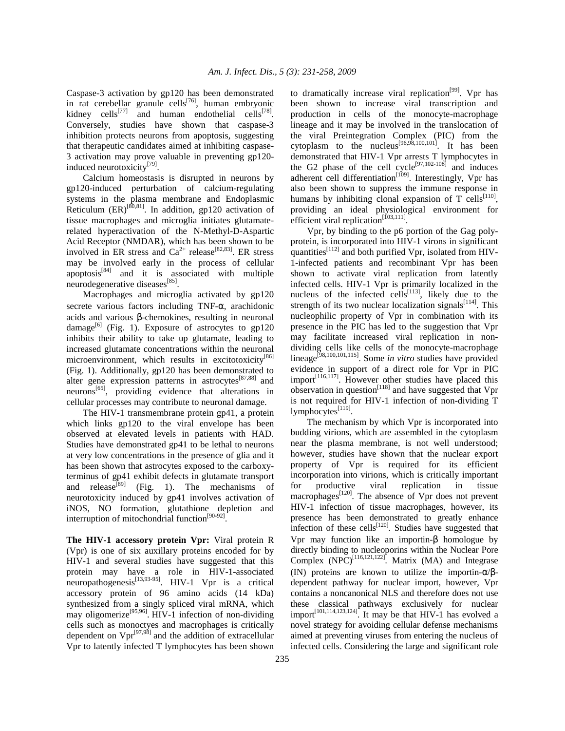Caspase-3 activation by gp120 has been demonstrated in rat cerebellar granule cells $^{[76]}$ , human embryonic kidney cells<sup>[77]</sup> and human endothelial cells<sup>[78]</sup>. Conversely, studies have shown that caspase-3 inhibition protects neurons from apoptosis, suggesting that therapeutic candidates aimed at inhibiting caspase-3 activation may prove valuable in preventing gp120 induced neurotoxicity<sup>[79]</sup>.

 Calcium homeostasis is disrupted in neurons by gp120-induced perturbation of calcium-regulating systems in the plasma membrane and Endoplasmic Reticulum  $(ER)^{[80,81]}$ . In addition, gp120 activation of tissue macrophages and microglia initiates glutamaterelated hyperactivation of the N-Methyl-D-Aspartic Acid Receptor (NMDAR), which has been shown to be involved in ER stress and  $Ca^{2+}$  release<sup>[82,83]</sup>. ER stress may be involved early in the process of cellular apoptosis $[84]$  and it is associated with multiple neurodegenerative diseases<sup>[85]</sup>.

 Macrophages and microglia activated by gp120 secrete various factors including TNF-α, arachidonic acids and various β-chemokines, resulting in neuronal damage<sup>[6]</sup> (Fig. 1). Exposure of astrocytes to gp120 inhibits their ability to take up glutamate, leading to increased glutamate concentrations within the neuronal microenvironment, which results in excitotoxicity<sup>[86]</sup> (Fig. 1). Additionally, gp120 has been demonstrated to alter gene expression patterns in astrocytes<sup>[87,88]</sup> and neurons[65], providing evidence that alterations in cellular processes may contribute to neuronal damage.

 The HIV-1 transmembrane protein gp41, a protein which links gp120 to the viral envelope has been observed at elevated levels in patients with HAD. Studies have demonstrated gp41 to be lethal to neurons at very low concentrations in the presence of glia and it has been shown that astrocytes exposed to the carboxyterminus of gp41 exhibit defects in glutamate transport and release<sup>[89]</sup> (Fig. 1). The mechanisms of neurotoxicity induced by gp41 involves activation of iNOS, NO formation, glutathione depletion and interruption of mitochondrial function<sup>[90-92]</sup>.

**The HIV-1 accessory protein Vpr:** Viral protein R (Vpr) is one of six auxillary proteins encoded for by HIV-1 and several studies have suggested that this protein may have a role in HIV-1-associated neuropathogenesis $^{[13,93-95]}$ . HIV-1 Vpr is a critical accessory protein of 96 amino acids (14 kDa) synthesized from a singly spliced viral mRNA, which may oligomerize<sup>[95,96]</sup>. HIV-1 infection of non-dividing cells such as monoctyes and macrophages is critically dependent on  $Vpr^{[97,98]}$  and the addition of extracellular Vpr to latently infected T lymphocytes has been shown

to dramatically increase viral replication<sup>[99]</sup>. Vpr has been shown to increase viral transcription and production in cells of the monocyte-macrophage lineage and it may be involved in the translocation of the viral Preintegration Complex (PIC) from the cytoplasm to the nucleus<sup>[96,98,100,101]</sup>. It has been demonstrated that HIV-1 Vpr arrests T lymphocytes in the G2 phase of the cell cycle<sup>[97,102-108]</sup> and induces adherent cell differentiation<sup>[109]</sup>. Interestingly, Vpr has also been shown to suppress the immune response in humans by inhibiting clonal expansion of T cells $^{[110]}$ , providing an ideal physiological environment for efficient viral replication $\left[ {}^{103,111}\right]$ .

 Vpr, by binding to the p6 portion of the Gag polyprotein, is incorporated into HIV-1 virons in significant quantities $^{[112]}$  and both purified Vpr, isolated from HIV-1-infected patients and recombinant Vpr has been shown to activate viral replication from latently infected cells. HIV-1 Vpr is primarily localized in the nucleus of the infected cells<sup>[113]</sup>, likely due to the strength of its two nuclear localization signals<sup>[114]</sup>. This nucleophilic property of Vpr in combination with its presence in the PIC has led to the suggestion that Vpr may facilitate increased viral replication in nondividing cells like cells of the monocyte-macrophage lineage[98,100,101,115]. Some *in vitro* studies have provided evidence in support of a direct role for Vpr in PIC import $[116,117]$ . However other studies have placed this observation in question<sup>[118]</sup> and have suggested that Vpr is not required for HIV-1 infection of non-dividing T lymphocytes<sup>[119]</sup>.

 The mechanism by which Vpr is incorporated into budding virions, which are assembled in the cytoplasm near the plasma membrane, is not well understood; however, studies have shown that the nuclear export property of Vpr is required for its efficient incorporation into virions, which is critically important for productive viral replication in tissue macrophages $^{[120]}$ . The absence of Vpr does not prevent HIV-1 infection of tissue macrophages, however, its presence has been demonstrated to greatly enhance infection of these cells<sup>[120]</sup>. Studies have suggested that Vpr may function like an importin-β homologue by directly binding to nucleoporins within the Nuclear Pore Complex  $(NPC)^{[116,121,122]}$ . Matrix  $(MA)$  and Integrase (IN) proteins are known to utilize the importin- $\alpha/\beta$ dependent pathway for nuclear import, however, Vpr contains a noncanonical NLS and therefore does not use these classical pathways exclusively for nuclear import<sup>[101,114,123,124]</sup>. It may be that HIV-1 has evolved a novel strategy for avoiding cellular defense mechanisms aimed at preventing viruses from entering the nucleus of infected cells. Considering the large and significant role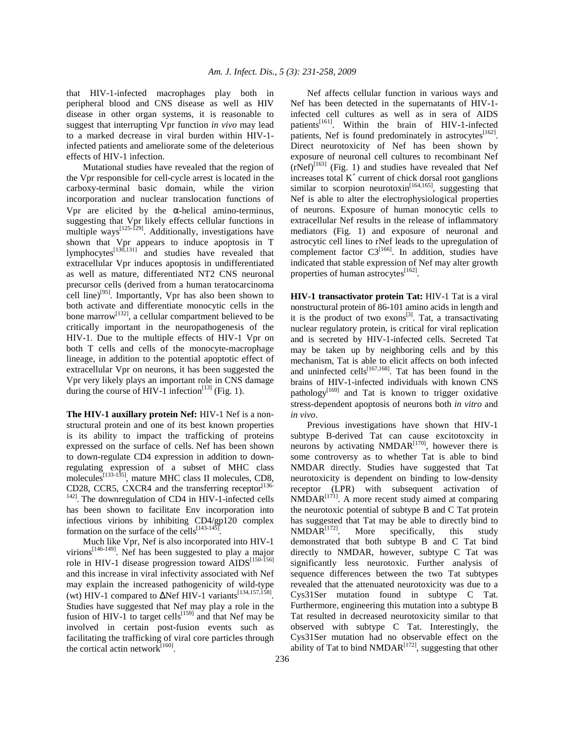that HIV-1-infected macrophages play both in peripheral blood and CNS disease as well as HIV disease in other organ systems, it is reasonable to suggest that interrupting Vpr function *in vivo* may lead to a marked decrease in viral burden within HIV-1 infected patients and ameliorate some of the deleterious effects of HIV-1 infection.

 Mutational studies have revealed that the region of the Vpr responsible for cell-cycle arrest is located in the carboxy-terminal basic domain, while the virion incorporation and nuclear translocation functions of Vpr are elicited by the  $\alpha$ -helical amino-terminus, suggesting that Vpr likely effects cellular functions in multiple ways<sup>[125-129]</sup>. Additionally, investigations have shown that Vpr appears to induce apoptosis in T  $l$ ymphocytes $\left[130,131\right]$  and studies have revealed that extracellular Vpr induces apoptosis in undifferentiated as well as mature, differentiated NT2 CNS neuronal precursor cells (derived from a human teratocarcinoma cell line)<sup>[95]</sup>. Importantly, Vpr has also been shown to both activate and differentiate monocytic cells in the bone marrow[132], a cellular compartment believed to be critically important in the neuropathogenesis of the HIV-1. Due to the multiple effects of HIV-1 Vpr on both T cells and cells of the monocyte-macrophage lineage, in addition to the potential apoptotic effect of extracellular Vpr on neurons, it has been suggested the Vpr very likely plays an important role in CNS damage during the course of HIV-1 infection<sup>[13]</sup> (Fig. 1).

**The HIV-1 auxillary protein Nef:** HIV-1 Nef is a nonstructural protein and one of its best known properties is its ability to impact the trafficking of proteins expressed on the surface of cells. Nef has been shown to down-regulate CD4 expression in addition to downregulating expression of a subset of MHC class molecules<sup>[133-135]</sup>, mature MHC class II molecules, CD8, CD28, CCR5, CXCR4 and the transferring receptor $^{[136]}$  $142$ ]. The downregulation of CD4 in HIV-1-infected cells has been shown to facilitate Env incorporation into infectious virions by inhibiting CD4/gp120 complex formation on the surface of the cells<sup>[143-145]</sup>.

 Much like Vpr, Nef is also incorporated into HIV-1 virions<sup>[146-149]</sup>. Nef has been suggested to play a major role in HIV-1 disease progression toward AIDS<sup>[150-156]</sup> and this increase in viral infectivity associated with Nef may explain the increased pathogenicity of wild-type (wt) HIV-1 compared to  $\Delta$ Nef HIV-1 variants<sup>[134,157,158]</sup>. Studies have suggested that Nef may play a role in the fusion of HIV-1 to target cells<sup>[159]</sup> and that Nef may be involved in certain post-fusion events such as facilitating the trafficking of viral core particles through the cortical actin network $^{[160]}$ .

 Nef affects cellular function in various ways and Nef has been detected in the supernatants of HIV-1 infected cell cultures as well as in sera of AIDS patients<sup>[161]</sup>. Within the brain of HIV-1-infected patients, Nef is found predominately in astrocytes $^{[162]}$ . Direct neurotoxicity of Nef has been shown by exposure of neuronal cell cultures to recombinant Nef  $(rNef)^{[163]}$  (Fig. 1) and studies have revealed that Nef increases total  $K^+$  current of chick dorsal root ganglions similar to scorpion neurotoxin<sup>[164,165]</sup>, suggesting that Nef is able to alter the electrophysiological properties of neurons. Exposure of human monocytic cells to extracellular Nef results in the release of inflammatory mediators (Fig. 1) and exposure of neuronal and astrocytic cell lines to rNef leads to the upregulation of complement factor  $C3^{[166]}$ . In addition, studies have indicated that stable expression of Nef may alter growth properties of human astrocytes<sup>[162]</sup>.

**HIV-1 transactivator protein Tat:** HIV-1 Tat is a viral nonstructural protein of 86-101 amino acids in length and it is the product of two exons $^{[3]}$ . Tat, a transactivating nuclear regulatory protein, is critical for viral replication and is secreted by HIV-1-infected cells. Secreted Tat may be taken up by neighboring cells and by this mechanism, Tat is able to elicit affects on both infected and uninfected cells<sup>[167,168]</sup>. Tat has been found in the brains of HIV-1-infected individuals with known CNS pathology<sup>[169]</sup> and Tat is known to trigger oxidative stress-dependent apoptosis of neurons both *in vitro* and *in vivo*.

 Previous investigations have shown that HIV-1 subtype B-derived Tat can cause excitotoxcity in neurons by activating  $NMDAR^{[170]}$ , however there is some controversy as to whether Tat is able to bind NMDAR directly. Studies have suggested that Tat neurotoxicity is dependent on binding to low-density receptor (LPR) with subsequent activation of  $NMDAR^{[171]}$ . A more recent study aimed at comparing the neurotoxic potential of subtype B and C Tat protein has suggested that Tat may be able to directly bind to  $NMDAR^{[172]}$ . More specifically, this study demonstrated that both subtype B and C Tat bind directly to NMDAR, however, subtype C Tat was significantly less neurotoxic. Further analysis of sequence differences between the two Tat subtypes revealed that the attenuated neurotoxicity was due to a Cys31Ser mutation found in subtype C Tat. Furthermore, engineering this mutation into a subtype B Tat resulted in decreased neurotoxicity similar to that observed with subtype C Tat. Interestingly, the Cys31Ser mutation had no observable effect on the ability of Tat to bind NMDAR<sup>[172]</sup>, suggesting that other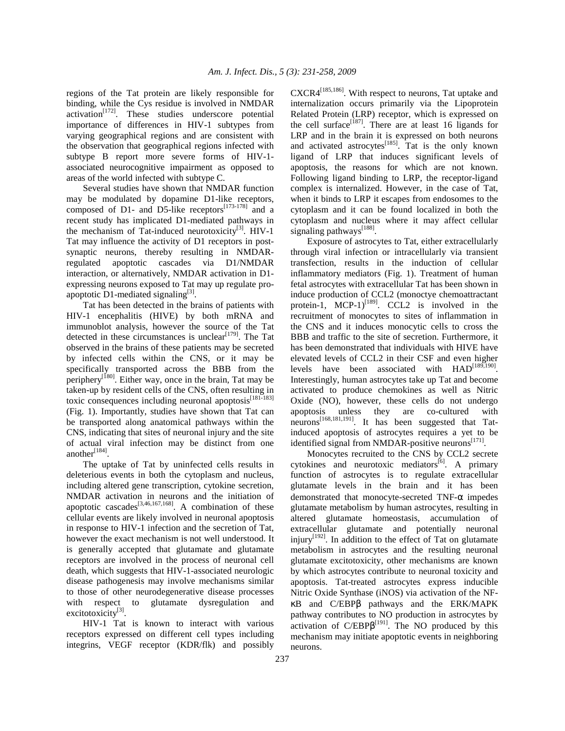regions of the Tat protein are likely responsible for binding, while the Cys residue is involved in NMDAR  $activation<sup>[172]</sup>$ . These studies underscore potential importance of differences in HIV-1 subtypes from varying geographical regions and are consistent with the observation that geographical regions infected with subtype B report more severe forms of HIV-1 associated neurocognitive impairment as opposed to areas of the world infected with subtype C.

 Several studies have shown that NMDAR function may be modulated by dopamine D1-like receptors, composed of D1- and D5-like receptors $^{[173-178]}$  and a recent study has implicated D1-mediated pathways in the mechanism of Tat-induced neurotoxicity $^{[3]}$ . HIV-1 Tat may influence the activity of D1 receptors in postsynaptic neurons, thereby resulting in NMDARregulated apoptotic cascades via D1/NMDAR interaction, or alternatively, NMDAR activation in D1 expressing neurons exposed to Tat may up regulate proapoptotic D1-mediated signaling<sup>[3]</sup>.

 Tat has been detected in the brains of patients with HIV-1 encephalitis (HIVE) by both mRNA and immunoblot analysis, however the source of the Tat detected in these circumstances is unclear<sup> $[179]$ </sup>. The Tat observed in the brains of these patients may be secreted by infected cells within the CNS, or it may be specifically transported across the BBB from the periphery<sup>[180]</sup>. Either way, once in the brain, Tat may be taken-up by resident cells of the CNS, often resulting in toxic consequences including neuronal apoptosis $^{[181-183]}$ (Fig. 1). Importantly, studies have shown that Tat can be transported along anatomical pathways within the CNS, indicating that sites of neuronal injury and the site of actual viral infection may be distinct from one another $^{[184]}$ .

 The uptake of Tat by uninfected cells results in deleterious events in both the cytoplasm and nucleus, including altered gene transcription, cytokine secretion, NMDAR activation in neurons and the initiation of apoptotic cascades<sup>[3,46,167,168]</sup>. A combination of these cellular events are likely involved in neuronal apoptosis in response to HIV-1 infection and the secretion of Tat, however the exact mechanism is not well understood. It is generally accepted that glutamate and glutamate receptors are involved in the process of neuronal cell death, which suggests that HIV-1-associated neurologic disease pathogenesis may involve mechanisms similar to those of other neurodegenerative disease processes with respect to glutamate dysregulation and excitotoxicity<sup>[3]</sup>.

 HIV-1 Tat is known to interact with various receptors expressed on different cell types including integrins, VEGF receptor (KDR/flk) and possibly CXCR4[185,186]. With respect to neurons, Tat uptake and internalization occurs primarily via the Lipoprotein Related Protein (LRP) receptor, which is expressed on the cell surface<sup>[187]</sup>. There are at least 16 ligands for LRP and in the brain it is expressed on both neurons and activated astrocytes $^{[185]}$ . Tat is the only known ligand of LRP that induces significant levels of apoptosis, the reasons for which are not known. Following ligand binding to LRP, the receptor-ligand complex is internalized. However, in the case of Tat, when it binds to LRP it escapes from endosomes to the cytoplasm and it can be found localized in both the cytoplasm and nucleus where it may affect cellular signaling pathways<sup>[188]</sup>.

 Exposure of astrocytes to Tat, either extracellularly through viral infection or intracellularly via transient transfection, results in the induction of cellular inflammatory mediators (Fig. 1). Treatment of human fetal astrocytes with extracellular Tat has been shown in induce production of CCL2 (monoctye chemoattractant protein-1, MCP-1) $^{[189]}$ . CCL2 is involved in the recruitment of monocytes to sites of inflammation in the CNS and it induces monocytic cells to cross the BBB and traffic to the site of secretion. Furthermore, it has been demonstrated that individuals with HIVE have elevated levels of CCL2 in their CSF and even higher levels have been associated with  $HAD^{[189,190]}$ . Interestingly, human astrocytes take up Tat and become activated to produce chemokines as well as Nitric Oxide (NO), however, these cells do not undergo apoptosis unless they are co-cultured with neurons<sup>[168,181,191]</sup>. It has been suggested that Tatinduced apoptosis of astrocytes requires a yet to be identified signal from NMDAR-positive neurons<sup>[171]</sup>.

 Monocytes recruited to the CNS by CCL2 secrete cytokines and neurotoxic mediators $^{[6]}$ . A primary function of astrocytes is to regulate extracellular glutamate levels in the brain and it has been demonstrated that monocyte-secreted TNF-α impedes glutamate metabolism by human astrocytes, resulting in altered glutamate homeostasis, accumulation of extracellular glutamate and potentially neuronal injury<sup>[192]</sup>. In addition to the effect of Tat on glutamate metabolism in astrocytes and the resulting neuronal glutamate excitotoxicity, other mechanisms are known by which astrocytes contribute to neuronal toxicity and apoptosis. Tat-treated astrocytes express inducible Nitric Oxide Synthase (iNOS) via activation of the NFκB and C/EBPβ pathways and the ERK/MAPK pathway contributes to NO production in astrocytes by activation of  $C/EBP\beta^{[191]}$ . The NO produced by this mechanism may initiate apoptotic events in neighboring neurons.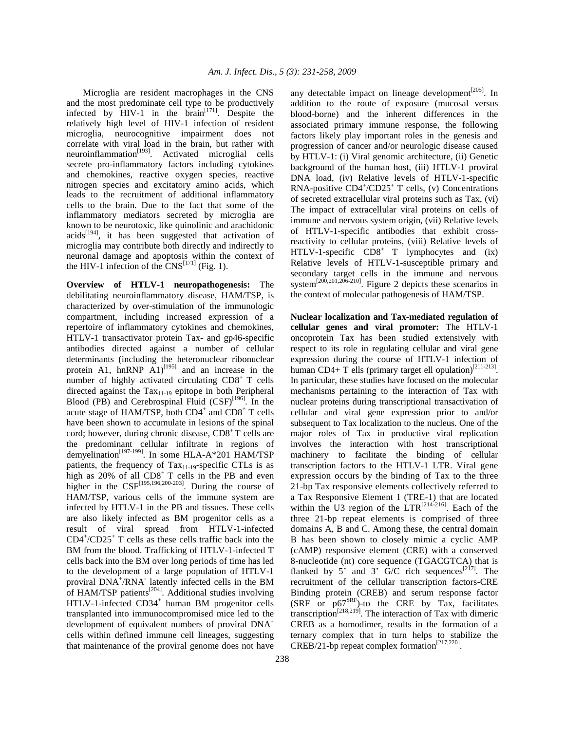Microglia are resident macrophages in the CNS and the most predominate cell type to be productively infected by  $HIV-1$  in the brain<sup>[171]</sup>. Despite the relatively high level of HIV-1 infection of resident microglia, neurocognitive impairment does not correlate with viral load in the brain, but rather with  $neuroinflammation<sup>[193]</sup>$ . Activated microglial cells secrete pro-inflammatory factors including cytokines and chemokines, reactive oxygen species, reactive nitrogen species and excitatory amino acids, which leads to the recruitment of additional inflammatory cells to the brain. Due to the fact that some of the inflammatory mediators secreted by microglia are known to be neurotoxic, like quinolinic and arachidonic  $acids^{[194]}$ , it has been suggested that activation of microglia may contribute both directly and indirectly to neuronal damage and apoptosis within the context of the HIV-1 infection of the  $\text{CNS}^{[171]}$  (Fig. 1).

**Overview of HTLV-1 neuropathogenesis:** The debilitating neuroinflammatory disease, HAM/TSP, is characterized by over-stimulation of the immunologic compartment, including increased expression of a repertoire of inflammatory cytokines and chemokines, HTLV-1 transactivator protein Tax- and gp46-specific antibodies directed against a number of cellular determinants (including the heteronuclear ribonuclear protein A1, hnRNP  $\overline{A1}$ <sup>[195]</sup> and an increase in the number of highly activated circulating  $CDS<sup>+</sup> T$  cells directed against the Tax<sub>11-19</sub> epitope in both Peripheral Blood (PB) and Cerebrospinal Fluid  $(CSF)^{[196]}$ . In the acute stage of HAM/TSP, both CD4<sup>+</sup> and CD8<sup>+</sup> T cells have been shown to accumulate in lesions of the spinal cord; however, during chronic disease,  $CD8<sup>+</sup>$ T cells are the predominant cellular infiltrate in regions of demyelination<sup>[197-199]</sup>. In some HLA-A\*201 HAM/TSP patients, the frequency of  $\text{Tax}_{11-19}$ -specific CTLs is as high as  $20\%$  of all  $CDS<sup>+</sup> T$  cells in the PB and even higher in the  $CSF^{[195,196,200-203]}$ . During the course of HAM/TSP, various cells of the immune system are infected by HTLV-1 in the PB and tissues. These cells are also likely infected as BM progenitor cells as a result of viral spread from HTLV-1-infected CD4<sup>+</sup> /CD25<sup>+</sup> T cells as these cells traffic back into the BM from the blood. Trafficking of HTLV-1-infected T cells back into the BM over long periods of time has led to the development of a large population of HTLV-1 proviral DNA<sup>+</sup>/RNA<sup>-</sup> latently infected cells in the BM of HAM/TSP patients<sup>[204]</sup>. Additional studies involving HTLV-1-infected CD34<sup>+</sup> human BM progenitor cells transplanted into immunocompromised mice led to the development of equivalent numbers of proviral DNA<sup>+</sup> cells within defined immune cell lineages, suggesting that maintenance of the proviral genome does not have

any detectable impact on lineage development $[205]$ . In addition to the route of exposure (mucosal versus blood-borne) and the inherent differences in the associated primary immune response, the following factors likely play important roles in the genesis and progression of cancer and/or neurologic disease caused by HTLV-1: (i) Viral genomic architecture, (ii) Genetic background of the human host, (iii) HTLV-1 proviral DNA load, (iv) Relative levels of HTLV-1-specific RNA-positive CD4<sup>+</sup>/CD25<sup>+</sup> T cells, (v) Concentrations of secreted extracellular viral proteins such as Tax, (vi) The impact of extracellular viral proteins on cells of immune and nervous system origin, (vii) Relative levels of HTLV-1-specific antibodies that exhibit crossreactivity to cellular proteins, (viii) Relative levels of HTLV-1-specific  $CD8^+$  T lymphocytes and (ix) Relative levels of HTLV-1-susceptible primary and secondary target cells in the immune and nervous system<sup>[200,201,206-210]</sup>. Figure 2 depicts these scenarios in the context of molecular pathogenesis of HAM/TSP.

**Nuclear localization and Tax-mediated regulation of cellular genes and viral promoter:** The HTLV-1 oncoprotein Tax has been studied extensively with respect to its role in regulating cellular and viral gene expression during the course of HTLV-1 infection of human CD4+ T ells (primary target ell opulation)<sup>[211-213]</sup>. In particular, these studies have focused on the molecular mechanisms pertaining to the interaction of Tax with nuclear proteins during transcriptional transactivation of cellular and viral gene expression prior to and/or subsequent to Tax localization to the nucleus. One of the major roles of Tax in productive viral replication involves the interaction with host transcriptional machinery to facilitate the binding of cellular transcription factors to the HTLV-1 LTR. Viral gene expression occurs by the binding of Tax to the three 21-bp Tax responsive elements collectively referred to a Tax Responsive Element 1 (TRE-1) that are located within the U3 region of the  $LTR^{[214-216]}$ . Each of the three 21-bp repeat elements is comprised of three domains A, B and C. Among these, the central domain B has been shown to closely mimic a cyclic AMP (cAMP) responsive element (CRE) with a conserved 8-nucleotide (nt) core sequence (TGACGTCA) that is flanked by 5' and 3'  $G/C$  rich sequences<sup>[217]</sup>. The recruitment of the cellular transcription factors-CRE Binding protein (CREB) and serum response factor  $(SRF \ or \ p67^{SRF})$ -to the CRE by Tax, facilitates transcription<sup>[218,219]</sup>. The interaction of Tax with dimeric CREB as a homodimer, results in the formation of a ternary complex that in turn helps to stabilize the  $CREB/21-bp$  repeat complex formation<sup>[217,220]</sup>.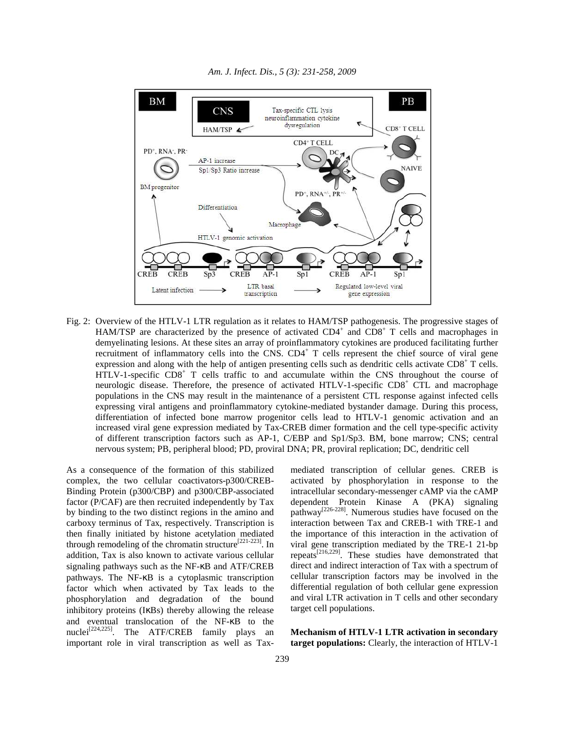

*Am. J. Infect. Dis., 5 (3): 231-258, 2009*

Fig. 2: Overview of the HTLV-1 LTR regulation as it relates to HAM/TSP pathogenesis. The progressive stages of HAM/TSP are characterized by the presence of activated CD4<sup>+</sup> and CD8<sup>+</sup> T cells and macrophages in demyelinating lesions. At these sites an array of proinflammatory cytokines are produced facilitating further recruitment of inflammatory cells into the CNS. CD4<sup>+</sup> T cells represent the chief source of viral gene expression and along with the help of antigen presenting cells such as dendritic cells activate CD8<sup>+</sup> T cells. HTLV-1-specific CD8<sup>+</sup> T cells traffic to and accumulate within the CNS throughout the course of neurologic disease. Therefore, the presence of activated HTLV-1-specific CD8<sup>+</sup> CTL and macrophage populations in the CNS may result in the maintenance of a persistent CTL response against infected cells expressing viral antigens and proinflammatory cytokine-mediated bystander damage. During this process, differentiation of infected bone marrow progenitor cells lead to HTLV-1 genomic activation and an increased viral gene expression mediated by Tax-CREB dimer formation and the cell type-specific activity of different transcription factors such as AP-1, C/EBP and Sp1/Sp3. BM, bone marrow; CNS; central nervous system; PB, peripheral blood; PD, proviral DNA; PR, proviral replication; DC, dendritic cell

As a consequence of the formation of this stabilized complex, the two cellular coactivators-p300/CREB-Binding Protein (p300/CBP) and p300/CBP-associated factor (P/CAF) are then recruited independently by Tax by binding to the two distinct regions in the amino and carboxy terminus of Tax, respectively. Transcription is then finally initiated by histone acetylation mediated through remodeling of the chromatin structure<sup>[221-223]</sup>. In addition, Tax is also known to activate various cellular signaling pathways such as the NF-κB and ATF/CREB pathways. The NF-κB is a cytoplasmic transcription factor which when activated by Tax leads to the phosphorylation and degradation of the bound inhibitory proteins (IκBs) thereby allowing the release and eventual translocation of the NF-κB to the nuclei[224,225]. The ATF/CREB family plays an important role in viral transcription as well as Taxmediated transcription of cellular genes. CREB is activated by phosphorylation in response to the intracellular secondary-messenger cAMP via the cAMP dependent Protein Kinase A (PKA) signaling pathway<sup>[226-228]</sup>. Numerous studies have focused on the interaction between Tax and CREB-1 with TRE-1 and the importance of this interaction in the activation of viral gene transcription mediated by the TRE-1 21-bp repeats[216,229]. These studies have demonstrated that direct and indirect interaction of Tax with a spectrum of cellular transcription factors may be involved in the differential regulation of both cellular gene expression and viral LTR activation in T cells and other secondary target cell populations.

**Mechanism of HTLV-1 LTR activation in secondary target populations:** Clearly, the interaction of HTLV-1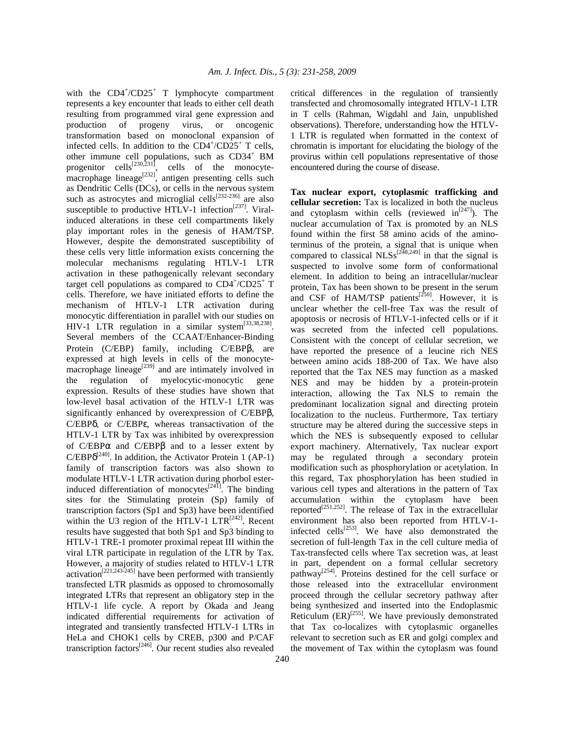with the CD4<sup>+</sup>/CD25<sup>+</sup> T lymphocyte compartment represents a key encounter that leads to either cell death resulting from programmed viral gene expression and production of progeny virus, or oncogenic transformation based on monoclonal expansion of infected cells. In addition to the  $CD4^+/CD25^+$  T cells, other immune cell populations, such as CD34<sup>+</sup> BM progenitor cells<sup>[230,231]</sup>, cells of the monocytemacrophage lineage<sup>[232]</sup>, antigen presenting cells such as Dendritic Cells (DCs), or cells in the nervous system such as astrocytes and microglial cells<sup>[232-236]</sup> are also susceptible to productive HTLV-1 infection<sup>[237]</sup>. Viralinduced alterations in these cell compartments likely play important roles in the genesis of HAM/TSP. However, despite the demonstrated susceptibility of these cells very little information exists concerning the molecular mechanisms regulating HTLV-1 LTR activation in these pathogenically relevant secondary target cell populations as compared to  $CD4^+/CD25^+$  T cells. Therefore, we have initiated efforts to define the mechanism of HTLV-1 LTR activation during monocytic differentiation in parallel with our studies on HIV-1 LTR regulation in a similar system $^{[33,38,238]}$ . Several members of the CCAAT/Enhancer-Binding Protein (C/EBP) family, including C/EBPβ, are expressed at high levels in cells of the monocytemacrophage lineage<sup>[239]</sup> and are intimately involved in the regulation of myelocytic-monocytic gene expression. Results of these studies have shown that low-level basal activation of the HTLV-1 LTR was significantly enhanced by overexpression of C/EBPβ, C/EBPδ, or C/EBPε, whereas transactivation of the HTLV-1 LTR by Tax was inhibited by overexpression of C/EBPα and C/EBPβ and to a lesser extent by  $C/EBP\delta^{[240]}$ . In addition, the Activator Protein 1 (AP-1) family of transcription factors was also shown to modulate HTLV-1 LTR activation during phorbol esterinduced differentiation of monocytes<sup>[241]</sup>. The binding sites for the Stimulating protein (Sp) family of transcription factors (Sp1 and Sp3) have been identified within the U3 region of the HTLV-1  $LTR^{[242]}$ . Recent results have suggested that both Sp1 and Sp3 binding to HTLV-1 TRE-1 promoter proximal repeat III within the viral LTR participate in regulation of the LTR by Tax. However, a majority of studies related to HTLV-1 LTR activation[221,243-245] have been performed with transiently transfected LTR plasmids as opposed to chromosomally integrated LTRs that represent an obligatory step in the HTLV-1 life cycle. A report by Okada and Jeang indicated differential requirements for activation of integrated and transiently transfected HTLV-1 LTRs in HeLa and CHOK1 cells by CREB, p300 and P/CAF transcription factors[246]. Our recent studies also revealed

240

critical differences in the regulation of transiently transfected and chromosomally integrated HTLV-1 LTR in T cells (Rahman, Wigdahl and Jain, unpublished observations). Therefore, understanding how the HTLV-1 LTR is regulated when formatted in the context of chromatin is important for elucidating the biology of the provirus within cell populations representative of those encountered during the course of disease.

**Tax nuclear export, cytoplasmic trafficking and cellular secretion:** Tax is localized in both the nucleus and cytoplasm within cells (reviewed  $in^{[247]}$ ). The nuclear accumulation of Tax is promoted by an NLS found within the first 58 amino acids of the aminoterminus of the protein, a signal that is unique when compared to classical NLSs<sup>[248,249]</sup> in that the signal is suspected to involve some form of conformational element. In addition to being an intracellular/nuclear protein, Tax has been shown to be present in the serum and CSF of HAM/TSP patients<sup>[250]</sup>. However, it is unclear whether the cell-free Tax was the result of apoptosis or necrosis of HTLV-1-infected cells or if it was secreted from the infected cell populations. Consistent with the concept of cellular secretion, we have reported the presence of a leucine rich NES between amino acids 188-200 of Tax. We have also reported that the Tax NES may function as a masked NES and may be hidden by a protein-protein interaction, allowing the Tax NLS to remain the predominant localization signal and directing protein localization to the nucleus. Furthermore, Tax tertiary structure may be altered during the successive steps in which the NES is subsequently exposed to cellular export machinery. Alternatively, Tax nuclear export may be regulated through a secondary protein modification such as phosphorylation or acetylation. In this regard, Tax phosphorylation has been studied in various cell types and alterations in the pattern of Tax accumulation within the cytoplasm have been reported<sup>[251,252]</sup>. The release of Tax in the extracellular environment has also been reported from HTLV-1 infected cells<sup> $[253]$ </sup>. We have also demonstrated the secretion of full-length Tax in the cell culture media of Tax-transfected cells where Tax secretion was, at least in part, dependent on a formal cellular secretory pathway<sup>[254]</sup>. Proteins destined for the cell surface or those released into the extracellular environment proceed through the cellular secretory pathway after being synthesized and inserted into the Endoplasmic Reticulum  $(ER)^{[255]}$ . We have previously demonstrated that Tax co-localizes with cytoplasmic organelles relevant to secretion such as ER and golgi complex and the movement of Tax within the cytoplasm was found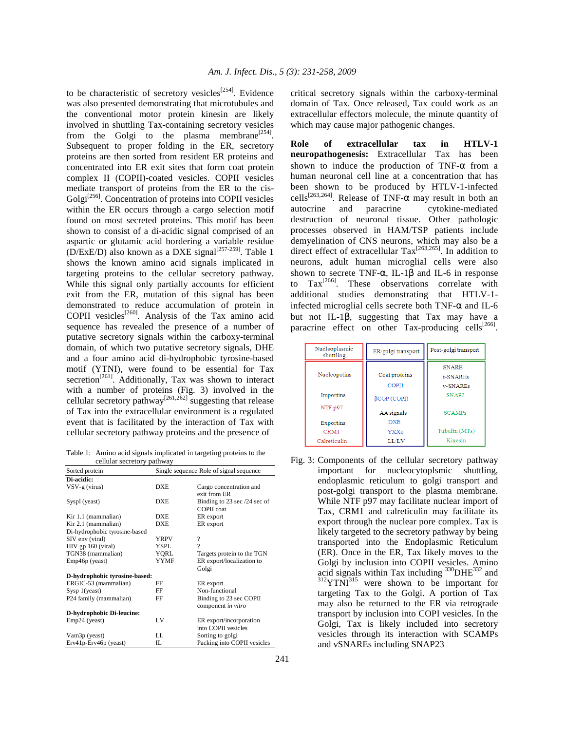to be characteristic of secretory vesicles<sup>[254]</sup>. Evidence was also presented demonstrating that microtubules and the conventional motor protein kinesin are likely involved in shuttling Tax-containing secretory vesicles from the Golgi to the plasma membrane<sup>[254]</sup>. Subsequent to proper folding in the ER, secretory proteins are then sorted from resident ER proteins and concentrated into ER exit sites that form coat protein complex II (COPII)-coated vesicles. COPII vesicles mediate transport of proteins from the ER to the cis-Golgi<sup>[256]</sup>. Concentration of proteins into COPII vesicles within the ER occurs through a cargo selection motif found on most secreted proteins. This motif has been shown to consist of a di-acidic signal comprised of an aspartic or glutamic acid bordering a variable residue  $(D/ExE/D)$  also known as a DXE signal<sup>[257-259]</sup>. Table 1 shows the known amino acid signals implicated in targeting proteins to the cellular secretory pathway. While this signal only partially accounts for efficient exit from the ER, mutation of this signal has been demonstrated to reduce accumulation of protein in COPII vesicles<sup>[260]</sup>. Analysis of the Tax amino acid sequence has revealed the presence of a number of putative secretory signals within the carboxy-terminal domain, of which two putative secretory signals, DHE and a four amino acid di-hydrophobic tyrosine-based motif (YTNI), were found to be essential for Tax secretion<sup>[261]</sup>. Additionally, Tax was shown to interact with a number of proteins (Fig. 3) involved in the cellular secretory pathway<sup>[261,262]</sup> suggesting that release of Tax into the extracellular environment is a regulated event that is facilitated by the interaction of Tax with cellular secretory pathway proteins and the presence of

Table 1: Amino acid signals implicated in targeting proteins to the cellular secretory pathway

| Sorted protein                         | Single sequence Role of signal sequence |                                                   |
|----------------------------------------|-----------------------------------------|---------------------------------------------------|
| Di-acidic:                             |                                         |                                                   |
| $VSV-g$ (virus)                        | <b>DXE</b>                              | Cargo concentration and<br>exit from ER           |
| Syspl (yeast)                          | <b>DXE</b>                              | Binding to 23 sec /24 sec of<br><b>COPII</b> coat |
| Kir 1.1 (mammalian)                    | <b>DXE</b>                              | ER export                                         |
| Kir 2.1 (mammalian)                    | <b>DXE</b>                              | ER export                                         |
| Di-hydrophobic tyrosine-based          |                                         |                                                   |
| SIV env (viral)                        | <b>YRPV</b>                             | $\overline{\mathcal{L}}$                          |
| $HIV$ gp 160 (viral)                   | YSPL.                                   | ?                                                 |
| TGN38 (mammalian)                      | YORL                                    | Targets protein to the TGN                        |
| Emp46p (yeast)                         | <b>YYMF</b>                             | ER export/localization to                         |
|                                        |                                         | Golgi                                             |
| D-hydrophobic tyrosine-based:          |                                         |                                                   |
| ERGIC-53 (mammalian)                   | FF                                      | ER export                                         |
| S <sub>ysp</sub> 1( <sub>years</sub> ) | FF                                      | Non-functional                                    |
| P24 family (mammalian)                 | FF                                      | Binding to 23 sec COPII                           |
|                                        |                                         | component in vitro                                |
| D-hydrophobic Di-leucine:              |                                         |                                                   |
| Emp24 (yeast)                          | LV                                      | ER export/incorporation                           |
|                                        |                                         | into COPII vesicles                               |
| Vam <sub>3</sub> p (yeast)             | LL.                                     | Sorting to golgi                                  |
| Erv41p-Erv46p (yeast)                  | IL                                      | Packing into COPII vesicles                       |

critical secretory signals within the carboxy-terminal domain of Tax. Once released, Tax could work as an extracellular effectors molecule, the minute quantity of which may cause major pathogenic changes.

**Role of extracellular tax in HTLV-1 neuropathogenesis:** Extracellular Tax has been shown to induce the production of TNF- $\alpha$  from a human neuronal cell line at a concentration that has been shown to be produced by HTLV-1-infected cells<sup>[263,264]</sup>. Release of TNF- $\alpha$  may result in both an autocrine and paracrine cytokine-mediated destruction of neuronal tissue. Other pathologic processes observed in HAM/TSP patients include demyelination of CNS neurons, which may also be a direct effect of extracellular  $\text{Tax}^{[263,265]}$ . In addition to neurons, adult human microglial cells were also shown to secrete TNF- $\alpha$ , IL-1 $\beta$  and IL-6 in response to  $\text{Tax}^{[266]}$ . These observations correlate with additional studies demonstrating that HTLV-1 infected microglial cells secrete both TNF- $\alpha$  and IL-6 but not IL-1β, suggesting that Tax may have a paracrine effect on other Tax-producing cells<sup>[266]</sup>.

| Nucleoplasmic<br>shuttling | ER/golgi transport | Post-golgi transport |
|----------------------------|--------------------|----------------------|
|                            |                    | <b>SNARE</b>         |
| Nucleopotins               | Coat proteins      | t-SNAREs             |
|                            | <b>COPII</b>       | v-SNAREs             |
| Importins                  | BCOP (COPI)        | SNAP <sub>2</sub>    |
| NTF p97                    | AA signals         | <b>SCAMPs</b>        |
| Exportins                  | <b>DXE</b>         |                      |
| CRM1                       | YXX <sub>0</sub>   | Tubulin (MTs)        |
| Calreticulin               | LL/LV              | Kinesin              |

Fig. 3: Components of the cellular secretory pathway important for nucleocytoplsmic shuttling, endoplasmic reticulum to golgi transport and post-golgi transport to the plasma membrane. While NTF p97 may facilitate nuclear import of Tax, CRM1 and calreticulin may facilitate its export through the nuclear pore complex. Tax is likely targeted to the secretory pathway by being transported into the Endoplasmic Reticulum (ER). Once in the ER, Tax likely moves to the Golgi by inclusion into COPII vesicles. Amino acid signals within Tax including  $330$ DHE $332$  and  $312$ YTNI $315$  were shown to be important for targeting Tax to the Golgi. A portion of Tax may also be returned to the ER via retrograde transport by inclusion into COPI vesicles. In the Golgi, Tax is likely included into secretory vesicles through its interaction with SCAMPs and vSNAREs including SNAP23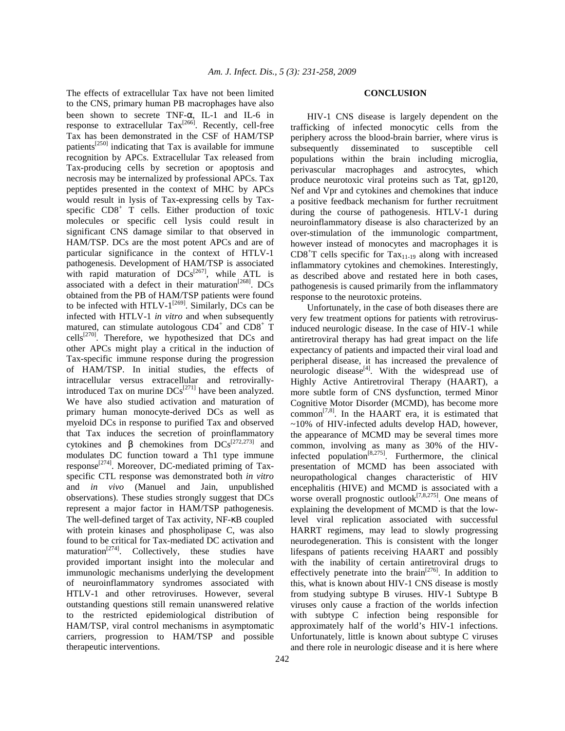The effects of extracellular Tax have not been limited to the CNS, primary human PB macrophages have also been shown to secrete TNF-α, IL-1 and IL-6 in response to extracellular  $\text{Tax}^{[266]}$ . Recently, cell-free Tax has been demonstrated in the CSF of HAM/TSP patients<sup>[250]</sup> indicating that Tax is available for immune recognition by APCs. Extracellular Tax released from Tax-producing cells by secretion or apoptosis and necrosis may be internalized by professional APCs. Tax peptides presented in the context of MHC by APCs would result in lysis of Tax-expressing cells by Taxspecific CD8<sup>+</sup> T cells. Either production of toxic molecules or specific cell lysis could result in significant CNS damage similar to that observed in HAM/TSP. DCs are the most potent APCs and are of particular significance in the context of HTLV-1 pathogenesis. Development of HAM/TSP is associated with rapid maturation of  $DCs^{[267]}$ , while ATL is associated with a defect in their maturation<sup>[268]</sup>. DCs obtained from the PB of HAM/TSP patients were found to be infected with HTLV- $1^{[269]}$ . Similarly, DCs can be infected with HTLV-1 *in vitro* and when subsequently matured, can stimulate autologous  $CD4^+$  and  $CD8^+$  T cells<sup>[270]</sup>. Therefore, we hypothesized that DCs and other APCs might play a critical in the induction of Tax-specific immune response during the progression of HAM/TSP. In initial studies, the effects of intracellular versus extracellular and retrovirallyintroduced Tax on murine  $DCs^{[271]}$  have been analyzed. We have also studied activation and maturation of primary human monocyte-derived DCs as well as myeloid DCs in response to purified Tax and observed that Tax induces the secretion of proinflammatory cytokines and β chemokines from  $DCs^{[272,273]}$  and modulates DC function toward a Th1 type immune response<sup>[274]</sup>. Moreover, DC-mediated priming of Taxspecific CTL response was demonstrated both *in vitro* and *in vivo* (Manuel and Jain, unpublished observations). These studies strongly suggest that DCs represent a major factor in HAM/TSP pathogenesis. The well-defined target of Tax activity, NF-κB coupled with protein kinases and phospholipase C, was also found to be critical for Tax-mediated DC activation and maturation<sup> $[274]$ </sup>. Collectively, these studies have provided important insight into the molecular and immunologic mechanisms underlying the development of neuroinflammatory syndromes associated with HTLV-1 and other retroviruses. However, several outstanding questions still remain unanswered relative to the restricted epidemiological distribution of HAM/TSP, viral control mechanisms in asymptomatic carriers, progression to HAM/TSP and possible therapeutic interventions.

#### **CONCLUSION**

 HIV-1 CNS disease is largely dependent on the trafficking of infected monocytic cells from the periphery across the blood-brain barrier, where virus is subsequently disseminated to susceptible cell populations within the brain including microglia, perivascular macrophages and astrocytes, which produce neurotoxic viral proteins such as Tat, gp120, Nef and Vpr and cytokines and chemokines that induce a positive feedback mechanism for further recruitment during the course of pathogenesis. HTLV-1 during neuroinflammatory disease is also characterized by an over-stimulation of the immunologic compartment, however instead of monocytes and macrophages it is  $CD8<sup>+</sup>T$  cells specific for  $Tax_{11-19}$  along with increased inflammatory cytokines and chemokines. Interestingly, as described above and restated here in both cases, pathogenesis is caused primarily from the inflammatory response to the neurotoxic proteins.

 Unfortunately, in the case of both diseases there are very few treatment options for patients with retrovirusinduced neurologic disease. In the case of HIV-1 while antiretroviral therapy has had great impact on the life expectancy of patients and impacted their viral load and peripheral disease, it has increased the prevalence of neurologic disease $^{[4]}$ . With the widespread use of Highly Active Antiretroviral Therapy (HAART), a more subtle form of CNS dysfunction, termed Minor Cognitive Motor Disorder (MCMD), has become more common<sup>[7,8]</sup>. In the HAART era, it is estimated that  $\sim$ 10% of HIV-infected adults develop HAD, however, the appearance of MCMD may be several times more common, involving as many as 30% of the HIVinfected population<sup>[8,275]</sup>. Furthermore, the clinical presentation of MCMD has been associated with neuropathological changes characteristic of HIV encephalitis (HIVE) and MCMD is associated with a worse overall prognostic outlook<sup>[7,8,275]</sup>. One means of explaining the development of MCMD is that the lowlevel viral replication associated with successful HARRT regimens, may lead to slowly progressing neurodegeneration. This is consistent with the longer lifespans of patients receiving HAART and possibly with the inability of certain antiretroviral drugs to effectively penetrate into the brain<sup>[276]</sup>. In addition to this, what is known about HIV-1 CNS disease is mostly from studying subtype B viruses. HIV-1 Subtype B viruses only cause a fraction of the worlds infection with subtype C infection being responsible for approximately half of the world's HIV-1 infections. Unfortunately, little is known about subtype C viruses and there role in neurologic disease and it is here where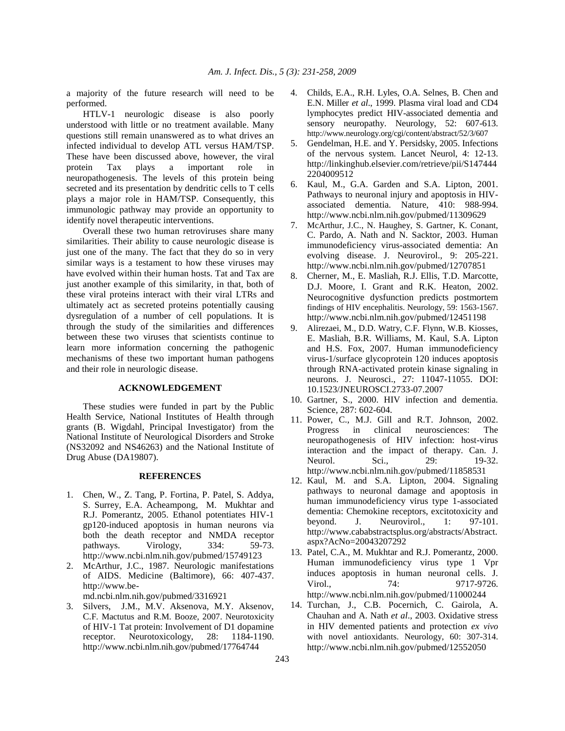a majority of the future research will need to be performed.

 HTLV-1 neurologic disease is also poorly understood with little or no treatment available. Many questions still remain unanswered as to what drives an infected individual to develop ATL versus HAM/TSP. These have been discussed above, however, the viral protein Tax plays a important role in neuropathogenesis. The levels of this protein being secreted and its presentation by dendritic cells to T cells plays a major role in HAM/TSP. Consequently, this immunologic pathway may provide an opportunity to identify novel therapeutic interventions.

 Overall these two human retroviruses share many similarities. Their ability to cause neurologic disease is just one of the many. The fact that they do so in very similar ways is a testament to how these viruses may have evolved within their human hosts. Tat and Tax are just another example of this similarity, in that, both of these viral proteins interact with their viral LTRs and ultimately act as secreted proteins potentially causing dysregulation of a number of cell populations. It is through the study of the similarities and differences between these two viruses that scientists continue to learn more information concerning the pathogenic mechanisms of these two important human pathogens and their role in neurologic disease.

# **ACKNOWLEDGEMENT**

 These studies were funded in part by the Public Health Service, National Institutes of Health through grants (B. Wigdahl, Principal Investigator) from the National Institute of Neurological Disorders and Stroke (NS32092 and NS46263) and the National Institute of Drug Abuse (DA19807).

## **REFERENCES**

- 1. Chen, W., Z. Tang, P. Fortina, P. Patel, S. Addya, S. Surrey, E.A. Acheampong, M. Mukhtar and R.J. Pomerantz, 2005. Ethanol potentiates HIV-1 gp120-induced apoptosis in human neurons via both the death receptor and NMDA receptor pathways. Virology, 334: 59-73. http://www.ncbi.nlm.nih.gov/pubmed/15749123
- 2. McArthur, J.C., 1987. Neurologic manifestations of AIDS. Medicine (Baltimore), 66: 407-437. http://www.be-

md.ncbi.nlm.nih.gov/pubmed/3316921

3. Silvers, J.M., M.V. Aksenova, M.Y. Aksenov, C.F. Mactutus and R.M. Booze, 2007. Neurotoxicity of HIV-1 Tat protein: Involvement of D1 dopamine receptor. Neurotoxicology, 28: 1184-1190. http://www.ncbi.nlm.nih.gov/pubmed/17764744

- 4. Childs, E.A., R.H. Lyles, O.A. Selnes, B. Chen and E.N. Miller *et al*., 1999. Plasma viral load and CD4 lymphocytes predict HIV-associated dementia and sensory neuropathy. Neurology, 52: 607-613. http://www.neurology.org/cgi/content/abstract/52/3/607
- 5. Gendelman, H.E. and Y. Persidsky, 2005. Infections of the nervous system. Lancet Neurol, 4: 12-13. http://linkinghub.elsevier.com/retrieve/pii/S147444 2204009512
- 6. Kaul, M., G.A. Garden and S.A. Lipton, 2001. Pathways to neuronal injury and apoptosis in HIVassociated dementia. Nature, 410: 988-994. http://www.ncbi.nlm.nih.gov/pubmed/11309629
- 7. McArthur, J.C., N. Haughey, S. Gartner, K. Conant, C. Pardo, A. Nath and N. Sacktor, 2003. Human immunodeficiency virus-associated dementia: An evolving disease. J. Neurovirol., 9: 205-221. http://www.ncbi.nlm.nih.gov/pubmed/12707851
- 8. Cherner, M., E. Masliah, R.J. Ellis, T.D. Marcotte, D.J. Moore, I. Grant and R.K. Heaton, 2002. Neurocognitive dysfunction predicts postmortem findings of HIV encephalitis. Neurology, 59: 1563-1567. http://www.ncbi.nlm.nih.gov/pubmed/12451198
- 9. Alirezaei, M., D.D. Watry, C.F. Flynn, W.B. Kiosses, E. Masliah, B.R. Williams, M. Kaul, S.A. Lipton and H.S. Fox, 2007. Human immunodeficiency virus-1/surface glycoprotein 120 induces apoptosis through RNA-activated protein kinase signaling in neurons. J. Neurosci., 27: 11047-11055. DOI: 10.1523/JNEUROSCI.2733-07.2007
- 10. Gartner, S., 2000. HIV infection and dementia. Science, 287: 602-604.
- 11. Power, C., M.J. Gill and R.T. Johnson, 2002. Progress in clinical neurosciences: The neuropathogenesis of HIV infection: host-virus interaction and the impact of therapy. Can. J. Neurol. Sci., 29: 19-32. http://www.ncbi.nlm.nih.gov/pubmed/11858531
- 12. Kaul, M. and S.A. Lipton, 2004. Signaling pathways to neuronal damage and apoptosis in human immunodeficiency virus type 1-associated dementia: Chemokine receptors, excitotoxicity and beyond. J. Neurovirol., 1: 97-101. http://www.cababstractsplus.org/abstracts/Abstract. aspx?AcNo=20043207292
- 13. Patel, C.A., M. Mukhtar and R.J. Pomerantz, 2000. Human immunodeficiency virus type 1 Vpr induces apoptosis in human neuronal cells. J. Virol., 24: 9717-9726. http://www.ncbi.nlm.nih.gov/pubmed/11000244
- 14. Turchan, J., C.B. Pocernich, C. Gairola, A. Chauhan and A. Nath *et al*., 2003. Oxidative stress in HIV demented patients and protection *ex vivo* with novel antioxidants. Neurology, 60: 307-314. http://www.ncbi.nlm.nih.gov/pubmed/12552050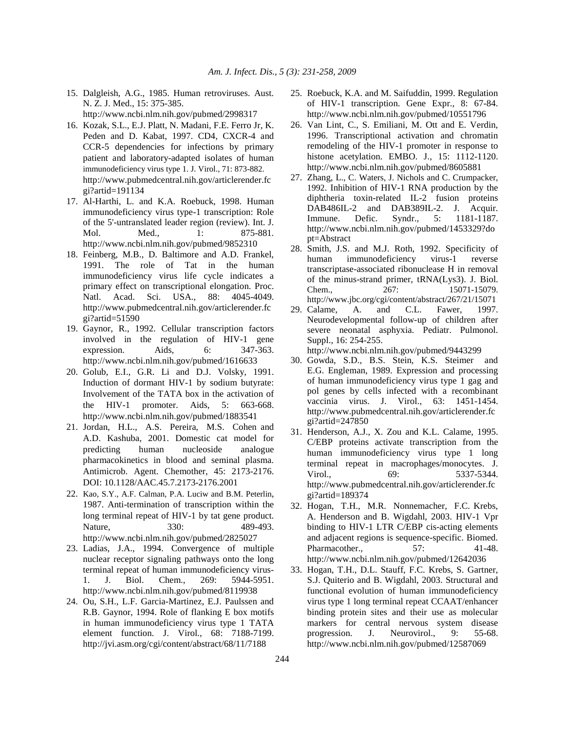- 15. Dalgleish, A.G., 1985. Human retroviruses. Aust. N. Z. J. Med., 15: 375-385. http://www.ncbi.nlm.nih.gov/pubmed/2998317
- 16. Kozak, S.L., E.J. Platt, N. Madani, F.E. Ferro Jr, K. Peden and D. Kabat, 1997. CD4, CXCR-4 and CCR-5 dependencies for infections by primary patient and laboratory-adapted isolates of human immunodeficiency virus type 1. J. Virol., 71: 873-882. http://www.pubmedcentral.nih.gov/articlerender.fc gi?artid=191134
- 17. Al-Harthi, L. and K.A. Roebuck, 1998. Human immunodeficiency virus type-1 transcription: Role of the 5'-untranslated leader region (review). Int. J. Mol. Med., 1: 875-881. http://www.ncbi.nlm.nih.gov/pubmed/9852310
- 18. Feinberg, M.B., D. Baltimore and A.D. Frankel, 1991. The role of Tat in the human immunodeficiency virus life cycle indicates a primary effect on transcriptional elongation. Proc. Natl. Acad. Sci. USA., 88: 4045-4049. http://www.pubmedcentral.nih.gov/articlerender.fc gi?artid=51590
- 19. Gaynor, R., 1992. Cellular transcription factors involved in the regulation of HIV-1 gene expression. Aids, 6: 347-363. http://www.ncbi.nlm.nih.gov/pubmed/1616633
- 20. Golub, E.I., G.R. Li and D.J. Volsky, 1991. Induction of dormant HIV-1 by sodium butyrate: Involvement of the TATA box in the activation of the HIV-1 promoter. Aids, 5: 663-668. http://www.ncbi.nlm.nih.gov/pubmed/1883541
- 21. Jordan, H.L., A.S. Pereira, M.S. Cohen and A.D. Kashuba, 2001. Domestic cat model for predicting human nucleoside analogue pharmacokinetics in blood and seminal plasma. Antimicrob. Agent. Chemother, 45: 2173-2176. DOI: 10.1128/AAC.45.7.2173-2176.2001
- 22. Kao, S.Y., A.F. Calman, P.A. Luciw and B.M. Peterlin, 1987. Anti-termination of transcription within the long terminal repeat of HIV-1 by tat gene product. Nature, 330: 489-493. http://www.ncbi.nlm.nih.gov/pubmed/2825027
- 23. Ladias, J.A., 1994. Convergence of multiple nuclear receptor signaling pathways onto the long terminal repeat of human immunodeficiency virus-1. J. Biol. Chem., 269: 5944-5951. http://www.ncbi.nlm.nih.gov/pubmed/8119938
- 24. Ou, S.H., L.F. Garcia-Martinez, E.J. Paulssen and R.B. Gaynor, 1994. Role of flanking E box motifs in human immunodeficiency virus type 1 TATA element function. J. Virol., 68: 7188-7199. http://jvi.asm.org/cgi/content/abstract/68/11/7188
- 25. Roebuck, K.A. and M. Saifuddin, 1999. Regulation of HIV-1 transcription. Gene Expr., 8: 67-84. http://www.ncbi.nlm.nih.gov/pubmed/10551796
- 26. Van Lint, C., S. Emiliani, M. Ott and E. Verdin, 1996. Transcriptional activation and chromatin remodeling of the HIV-1 promoter in response to histone acetylation. EMBO. J., 15: 1112-1120. http://www.ncbi.nlm.nih.gov/pubmed/8605881
- 27. Zhang, L., C. Waters, J. Nichols and C. Crumpacker, 1992. Inhibition of HIV-1 RNA production by the diphtheria toxin-related IL-2 fusion proteins DAB486IL-2 and DAB389IL-2. J. Acquir. Immune. Defic. Syndr., 5: 1181-1187. http://www.ncbi.nlm.nih.gov/pubmed/1453329?do pt=Abstract
- 28. Smith, J.S. and M.J. Roth, 1992. Specificity of human immunodeficiency virus-1 reverse transcriptase-associated ribonuclease H in removal of the minus-strand primer, tRNA(Lys3). J. Biol. Chem., 267: 15071-15079. http://www.jbc.org/cgi/content/abstract/267/21/15071
- 29. Calame, A. and C.L. Fawer, 1997. Neurodevelopmental follow-up of children after severe neonatal asphyxia. Pediatr. Pulmonol. Suppl., 16: 254-255.

- 30. Gowda, S.D., B.S. Stein, K.S. Steimer and E.G. Engleman, 1989. Expression and processing of human immunodeficiency virus type 1 gag and pol genes by cells infected with a recombinant vaccinia virus. J. Virol., 63: 1451-1454. http://www.pubmedcentral.nih.gov/articlerender.fc gi?artid=247850
- 31. Henderson, A.J., X. Zou and K.L. Calame, 1995. C/EBP proteins activate transcription from the human immunodeficiency virus type 1 long terminal repeat in macrophages/monocytes. J. Virol., 69: 5337-5344. http://www.pubmedcentral.nih.gov/articlerender.fc gi?artid=189374
- 32. Hogan, T.H., M.R. Nonnemacher, F.C. Krebs, A. Henderson and B. Wigdahl, 2003. HIV-1 Vpr binding to HIV-1 LTR C/EBP cis-acting elements and adjacent regions is sequence-specific. Biomed. Pharmacother., 57: 41-48. http://www.ncbi.nlm.nih.gov/pubmed/12642036
- 33. Hogan, T.H., D.L. Stauff, F.C. Krebs, S. Gartner, S.J. Quiterio and B. Wigdahl, 2003. Structural and functional evolution of human immunodeficiency virus type 1 long terminal repeat CCAAT/enhancer binding protein sites and their use as molecular markers for central nervous system disease progression. J. Neurovirol., 9: 55-68. http://www.ncbi.nlm.nih.gov/pubmed/12587069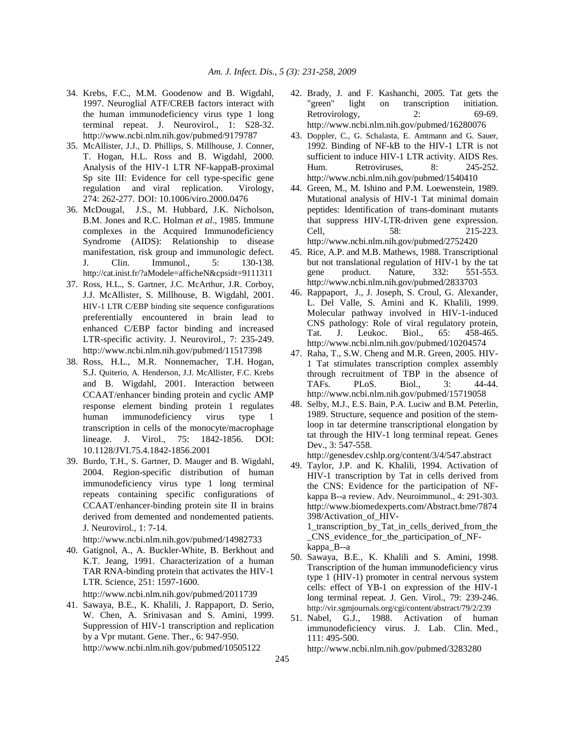- 34. Krebs, F.C., M.M. Goodenow and B. Wigdahl, 1997. Neuroglial ATF/CREB factors interact with the human immunodeficiency virus type 1 long terminal repeat. J. Neurovirol., 1: S28-32. http://www.ncbi.nlm.nih.gov/pubmed/9179787
- 35. McAllister, J.J., D. Phillips, S. Millhouse, J. Conner, T. Hogan, H.L. Ross and B. Wigdahl, 2000. Analysis of the HIV-1 LTR NF-kappaB-proximal Sp site III: Evidence for cell type-specific gene regulation and viral replication. Virology, 274: 262-277. DOI: 10.1006/viro.2000.0476
- 36. McDougal, J.S., M. Hubbard, J.K. Nicholson, B.M. Jones and R.C. Holman *et al*., 1985. Immune complexes in the Acquired Immunodeficiency Syndrome (AIDS): Relationship to disease manifestation, risk group and immunologic defect. J. Clin. Immunol., 5: 130-138. http://cat.inist.fr/?aModele=afficheN&cpsidt=9111311
- 37. Ross, H.L., S. Gartner, J.C. McArthur, J.R. Corboy, J.J. McAllister, S. Millhouse, B. Wigdahl, 2001. HIV-1 LTR C/EBP binding site sequence configurations preferentially encountered in brain lead to enhanced C/EBP factor binding and increased LTR-specific activity. J. Neurovirol., 7: 235-249. http://www.ncbi.nlm.nih.gov/pubmed/11517398
- 38. Ross, H.L., M.R. Nonnemacher, T.H. Hogan, S.J. Quiterio, A. Henderson, J.J. McAllister, F.C. Krebs and B. Wigdahl, 2001. Interaction between CCAAT/enhancer binding protein and cyclic AMP response element binding protein 1 regulates human immunodeficiency virus type 1 transcription in cells of the monocyte/macrophage lineage. J. Virol., 75: 1842-1856. DOI: 10.1128/JVI.75.4.1842-1856.2001
- 39. Burdo, T.H., S. Gartner, D. Mauger and B. Wigdahl, 2004. Region-specific distribution of human immunodeficiency virus type 1 long terminal repeats containing specific configurations of CCAAT/enhancer-binding protein site II in brains derived from demented and nondemented patients. J. Neurovirol., 1: 7-14.

40. Gatignol, A., A. Buckler-White, B. Berkhout and K.T. Jeang, 1991. Characterization of a human TAR RNA-binding protein that activates the HIV-1 LTR. Science, 251: 1597-1600.

http://www.ncbi.nlm.nih.gov/pubmed/2011739

41. Sawaya, B.E., K. Khalili, J. Rappaport, D. Serio, W. Chen, A. Srinivasan and S. Amini, 1999. Suppression of HIV-1 transcription and replication by a Vpr mutant. Gene. Ther., 6: 947-950. http://www.ncbi.nlm.nih.gov/pubmed/10505122

- 42. Brady, J. and F. Kashanchi, 2005. Tat gets the "green" light on transcription initiation. Retrovirology, 2: 69-69. http://www.ncbi.nlm.nih.gov/pubmed/16280076
- 43. Doppler, C., G. Schalasta, E. Amtmann and G. Sauer, 1992. Binding of NF-kB to the HIV-1 LTR is not sufficient to induce HIV-1 LTR activity. AIDS Res. Hum. Retroviruses, 8: 245-252. http://www.ncbi.nlm.nih.gov/pubmed/1540410
- 44. Green, M., M. Ishino and P.M. Loewenstein, 1989. Mutational analysis of HIV-1 Tat minimal domain peptides: Identification of trans-dominant mutants that suppress HIV-LTR-driven gene expression. Cell, 58: 215-223. http://www.ncbi.nlm.nih.gov/pubmed/2752420
- 45. Rice, A.P. and M.B. Mathews, 1988. Transcriptional but not translational regulation of HIV-1 by the tat gene product. Nature, 332: 551-553. http://www.ncbi.nlm.nih.gov/pubmed/2833703
- 46. Rappaport, J., J. Joseph, S. Croul, G. Alexander, L. Del Valle, S. Amini and K. Khalili, 1999. Molecular pathway involved in HIV-1-induced CNS pathology: Role of viral regulatory protein, Tat. J. Leukoc. Biol., 65: 458-465. http://www.ncbi.nlm.nih.gov/pubmed/10204574
- 47. Raha, T., S.W. Cheng and M.R. Green, 2005. HIV-1 Tat stimulates transcription complex assembly through recruitment of TBP in the absence of TAFs. PLoS. Biol., 3: 44-44. http://www.ncbi.nlm.nih.gov/pubmed/15719058
- 48. Selby, M.J., E.S. Bain, P.A. Luciw and B.M. Peterlin, 1989. Structure, sequence and position of the stemloop in tar determine transcriptional elongation by tat through the HIV-1 long terminal repeat. Genes Dev., 3: 547-558.

http://genesdev.cshlp.org/content/3/4/547.abstract

49. Taylor, J.P. and K. Khalili, 1994. Activation of HIV-1 transcription by Tat in cells derived from the CNS: Evidence for the participation of NFkappa B--a review. Adv. Neuroimmunol., 4: 291-303. http://www.biomedexperts.com/Abstract.bme/7874 398/Activation\_of\_HIV-1\_transcription\_by\_Tat\_in\_cells\_derived\_from\_the

\_CNS\_evidence\_for\_the\_participation\_of\_NFkappa\_B--a

- 50. Sawaya, B.E., K. Khalili and S. Amini, 1998. Transcription of the human immunodeficiency virus type 1 (HIV-1) promoter in central nervous system cells: effect of YB-1 on expression of the HIV-1 long terminal repeat. J. Gen. Virol., 79: 239-246. http://vir.sgmjournals.org/cgi/content/abstract/79/2/239
- 51. Nabel, G.J., 1988. Activation of human immunodeficiency virus. J. Lab. Clin. Med., 111: 495-500.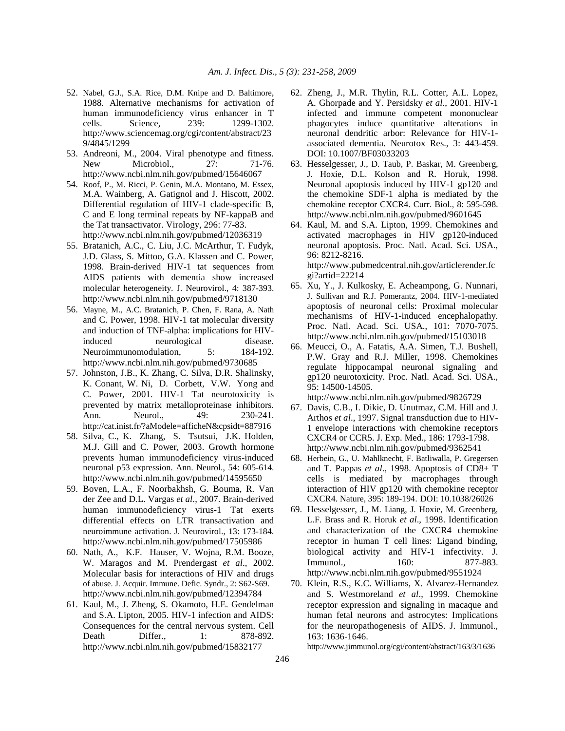- 52. Nabel, G.J., S.A. Rice, D.M. Knipe and D. Baltimore, 1988. Alternative mechanisms for activation of human immunodeficiency virus enhancer in T cells. Science, 239: 1299-1302. http://www.sciencemag.org/cgi/content/abstract/23 9/4845/1299
- 53. Andreoni, M., 2004. Viral phenotype and fitness. New Microbiol., 27: 71-76. http://www.ncbi.nlm.nih.gov/pubmed/15646067
- 54. Roof, P., M. Ricci, P. Genin, M.A. Montano, M. Essex, M.A. Wainberg, A. Gatignol and J. Hiscott, 2002. Differential regulation of HIV-1 clade-specific B, C and E long terminal repeats by NF-kappaB and the Tat transactivator. Virology, 296: 77-83. http://www.ncbi.nlm.nih.gov/pubmed/12036319
- 55. Bratanich, A.C., C. Liu, J.C. McArthur, T. Fudyk, J.D. Glass, S. Mittoo, G.A. Klassen and C. Power, 1998. Brain-derived HIV-1 tat sequences from AIDS patients with dementia show increased molecular heterogeneity. J. Neurovirol., 4: 387-393. http://www.ncbi.nlm.nih.gov/pubmed/9718130
- 56. Mayne, M., A.C. Bratanich, P. Chen, F. Rana, A. Nath and C. Power, 1998. HIV-1 tat molecular diversity and induction of TNF-alpha: implications for HIVinduced neurological disease. Neuroimmunomodulation, 5: 184-192. http://www.ncbi.nlm.nih.gov/pubmed/9730685
- 57. Johnston, J.B., K. Zhang, C. Silva, D.R. Shalinsky, K. Conant, W. Ni, D. Corbett, V.W. Yong and C. Power, 2001. HIV-1 Tat neurotoxicity is prevented by matrix metalloproteinase inhibitors. Ann. Neurol., 49: 230-241. http://cat.inist.fr/?aModele=afficheN&cpsidt=887916
- 58. Silva, C., K. Zhang, S. Tsutsui, J.K. Holden, M.J. Gill and C. Power, 2003. Growth hormone prevents human immunodeficiency virus-induced neuronal p53 expression. Ann. Neurol., 54: 605-614. http://www.ncbi.nlm.nih.gov/pubmed/14595650
- 59. Boven, L.A., F. Noorbakhsh, G. Bouma, R. Van der Zee and D.L. Vargas *et al*., 2007. Brain-derived human immunodeficiency virus-1 Tat exerts differential effects on LTR transactivation and neuroimmune activation. J. Neurovirol., 13: 173-184. http://www.ncbi.nlm.nih.gov/pubmed/17505986
- 60. Nath, A., K.F. Hauser, V. Wojna, R.M. Booze, W. Maragos and M. Prendergast *et al*., 2002. Molecular basis for interactions of HIV and drugs of abuse. J. Acquir. Immune. Defic. Syndr., 2: S62-S69. http://www.ncbi.nlm.nih.gov/pubmed/12394784
- 61. Kaul, M., J. Zheng, S. Okamoto, H.E. Gendelman and S.A. Lipton, 2005. HIV-1 infection and AIDS: Consequences for the central nervous system. Cell Death Differ., 1: 878-892. http://www.ncbi.nlm.nih.gov/pubmed/15832177
- 62. Zheng, J., M.R. Thylin, R.L. Cotter, A.L. Lopez, A. Ghorpade and Y. Persidsky *et al*., 2001. HIV-1 infected and immune competent mononuclear phagocytes induce quantitative alterations in neuronal dendritic arbor: Relevance for HIV-1 associated dementia. Neurotox Res., 3: 443-459. DOI: 10.1007/BF03033203
- 63. Hesselgesser, J., D. Taub, P. Baskar, M. Greenberg, J. Hoxie, D.L. Kolson and R. Horuk, 1998. Neuronal apoptosis induced by HIV-1 gp120 and the chemokine SDF-1 alpha is mediated by the chemokine receptor CXCR4. Curr. Biol., 8: 595-598. http://www.ncbi.nlm.nih.gov/pubmed/9601645
- 64. Kaul, M. and S.A. Lipton, 1999. Chemokines and activated macrophages in HIV gp120-induced neuronal apoptosis. Proc. Natl. Acad. Sci. USA., 96: 8212-8216. http://www.pubmedcentral.nih.gov/articlerender.fc
- gi?artid=22214 65. Xu, Y., J. Kulkosky, E. Acheampong, G. Nunnari, J. Sullivan and R.J. Pomerantz, 2004. HIV-1-mediated apoptosis of neuronal cells: Proximal molecular mechanisms of HIV-1-induced encephalopathy. Proc. Natl. Acad. Sci. USA., 101: 7070-7075. http://www.ncbi.nlm.nih.gov/pubmed/15103018
- 66. Meucci, O., A. Fatatis, A.A. Simen, T.J. Bushell, P.W. Gray and R.J. Miller, 1998. Chemokines regulate hippocampal neuronal signaling and gp120 neurotoxicity. Proc. Natl. Acad. Sci. USA., 95: 14500-14505. http://www.ncbi.nlm.nih.gov/pubmed/9826729
- 67. Davis, C.B., I. Dikic, D. Unutmaz, C.M. Hill and J. Arthos *et al*., 1997. Signal transduction due to HIV-1 envelope interactions with chemokine receptors CXCR4 or CCR5. J. Exp. Med., 186: 1793-1798. http://www.ncbi.nlm.nih.gov/pubmed/9362541
- 68. Herbein, G., U. Mahlknecht, F. Batliwalla, P. Gregersen and T. Pappas *et al*., 1998. Apoptosis of CD8+ T cells is mediated by macrophages through interaction of HIV gp120 with chemokine receptor CXCR4. Nature, 395: 189-194. DOI: 10.1038/26026
- 69. Hesselgesser, J., M. Liang, J. Hoxie, M. Greenberg, L.F. Brass and R. Horuk *et al*., 1998. Identification and characterization of the CXCR4 chemokine receptor in human T cell lines: Ligand binding, biological activity and HIV-1 infectivity. J. Immunol., 160: 877-883. http://www.ncbi.nlm.nih.gov/pubmed/9551924
- 70. Klein, R.S., K.C. Williams, X. Alvarez-Hernandez and S. Westmoreland *et al*., 1999. Chemokine receptor expression and signaling in macaque and human fetal neurons and astrocytes: Implications for the neuropathogenesis of AIDS. J. Immunol., 163: 1636-1646.

http://www.jimmunol.org/cgi/content/abstract/163/3/1636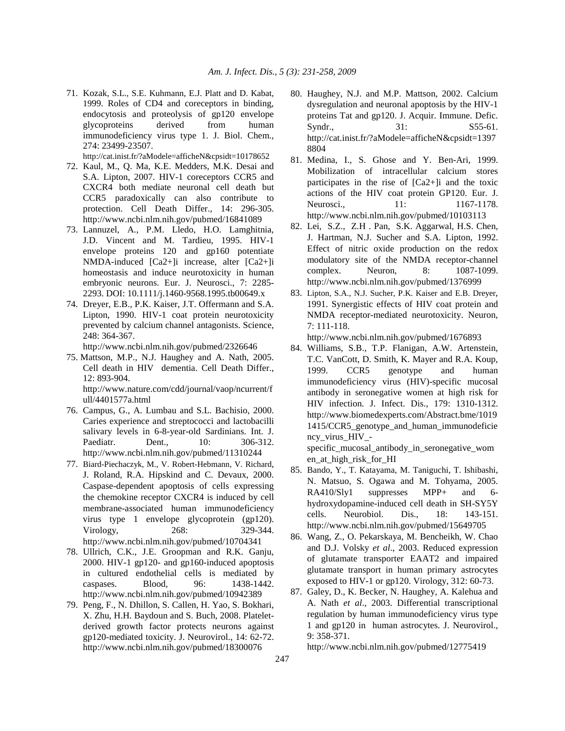71. Kozak, S.L., S.E. Kuhmann, E.J. Platt and D. Kabat, 1999. Roles of CD4 and coreceptors in binding, endocytosis and proteolysis of gp120 envelope glycoproteins derived from human immunodeficiency virus type 1. J. Biol. Chem., 274: 23499-23507.

http://cat.inist.fr/?aModele=afficheN&cpsidt=10178652

- 72. Kaul, M., Q. Ma, K.E. Medders, M.K. Desai and S.A. Lipton, 2007. HIV-1 coreceptors CCR5 and CXCR4 both mediate neuronal cell death but CCR5 paradoxically can also contribute to protection. Cell Death Differ., 14: 296-305. http://www.ncbi.nlm.nih.gov/pubmed/16841089
- 73. Lannuzel, A., P.M. Lledo, H.O. Lamghitnia, J.D. Vincent and M. Tardieu, 1995. HIV-1 envelope proteins 120 and gp160 potentiate NMDA-induced [Ca2+]i increase, alter [Ca2+]i homeostasis and induce neurotoxicity in human embryonic neurons. Eur. J. Neurosci., 7: 2285- 2293. DOI: 10.1111/j.1460-9568.1995.tb00649.x
- 74. Dreyer, E.B., P.K. Kaiser, J.T. Offermann and S.A. Lipton, 1990. HIV-1 coat protein neurotoxicity prevented by calcium channel antagonists. Science, 248: 364-367.

http://www.ncbi.nlm.nih.gov/pubmed/2326646

- 75. Mattson, M.P., N.J. Haughey and A. Nath, 2005. Cell death in HIV dementia. Cell Death Differ., 12: 893-904. http://www.nature.com/cdd/journal/vaop/ncurrent/f ull/4401577a.html
- 76. Campus, G., A. Lumbau and S.L. Bachisio, 2000. Caries experience and streptococci and lactobacilli salivary levels in 6-8-year-old Sardinians. Int. J. Paediatr. Dent., 10: 306-312. http://www.ncbi.nlm.nih.gov/pubmed/11310244
- 77. Biard-Piechaczyk, M., V. Robert-Hebmann, V. Richard, J. Roland, R.A. Hipskind and C. Devaux, 2000. Caspase-dependent apoptosis of cells expressing the chemokine receptor CXCR4 is induced by cell membrane-associated human immunodeficiency virus type 1 envelope glycoprotein (gp120). Virology, 268: 329-344. http://www.ncbi.nlm.nih.gov/pubmed/10704341
- 78. Ullrich, C.K., J.E. Groopman and R.K. Ganju, 2000. HIV-1 gp120- and gp160-induced apoptosis in cultured endothelial cells is mediated by caspases. Blood, 96: 1438-1442. http://www.ncbi.nlm.nih.gov/pubmed/10942389
- 79. Peng, F., N. Dhillon, S. Callen, H. Yao, S. Bokhari, X. Zhu, H.H. Baydoun and S. Buch, 2008. Plateletderived growth factor protects neurons against gp120-mediated toxicity. J. Neurovirol., 14: 62-72. http://www.ncbi.nlm.nih.gov/pubmed/18300076
- 80. Haughey, N.J. and M.P. Mattson, 2002. Calcium dysregulation and neuronal apoptosis by the HIV-1 proteins Tat and gp120. J. Acquir. Immune. Defic. Syndr., 31: S55-61. http://cat.inist.fr/?aModele=afficheN&cpsidt=1397 8804
- 81. Medina, I., S. Ghose and Y. Ben-Ari, 1999. Mobilization of intracellular calcium stores participates in the rise of [Ca2+]i and the toxic actions of the HIV coat protein GP120. Eur. J. Neurosci., 11: 1167-1178. http://www.ncbi.nlm.nih.gov/pubmed/10103113
- 82. Lei, S.Z., Z.H . Pan, S.K. Aggarwal, H.S. Chen, J. Hartman, N.J. Sucher and S.A. Lipton, 1992. Effect of nitric oxide production on the redox modulatory site of the NMDA receptor-channel complex. Neuron, 8: 1087-1099. http://www.ncbi.nlm.nih.gov/pubmed/1376999
- 83. Lipton, S.A., N.J. Sucher, P.K. Kaiser and E.B. Dreyer, 1991. Synergistic effects of HIV coat protein and NMDA receptor-mediated neurotoxicity. Neuron, 7: 111-118.

http://www.ncbi.nlm.nih.gov/pubmed/1676893

84. Williams, S.B., T.P. Flanigan, A.W. Artenstein, T.C. VanCott, D. Smith, K. Mayer and R.A. Koup, 1999. CCR5 genotype and human immunodeficiency virus (HIV)-specific mucosal antibody in seronegative women at high risk for HIV infection. J. Infect. Dis., 179: 1310-1312. http://www.biomedexperts.com/Abstract.bme/1019 1415/CCR5\_genotype\_and\_human\_immunodeficie ncy\_virus\_HIV\_-

specific\_mucosal\_antibody\_in\_seronegative\_wom en\_at\_high\_risk\_for\_HI

- 85. Bando, Y., T. Katayama, M. Taniguchi, T. Ishibashi, N. Matsuo, S. Ogawa and M. Tohyama, 2005. RA410/Sly1 suppresses MPP+ and 6 hydroxydopamine-induced cell death in SH-SY5Y cells. Neurobiol. Dis., 18: 143-151. http://www.ncbi.nlm.nih.gov/pubmed/15649705
- 86. Wang, Z., O. Pekarskaya, M. Bencheikh, W. Chao and D.J. Volsky *et al*., 2003. Reduced expression of glutamate transporter EAAT2 and impaired glutamate transport in human primary astrocytes exposed to HIV-1 or gp120. Virology, 312: 60-73.
- 87. Galey, D., K. Becker, N. Haughey, A. Kalehua and A. Nath *et al*., 2003. Differential transcriptional regulation by human immunodeficiency virus type 1 and gp120 in human astrocytes. J. Neurovirol., 9: 358-371.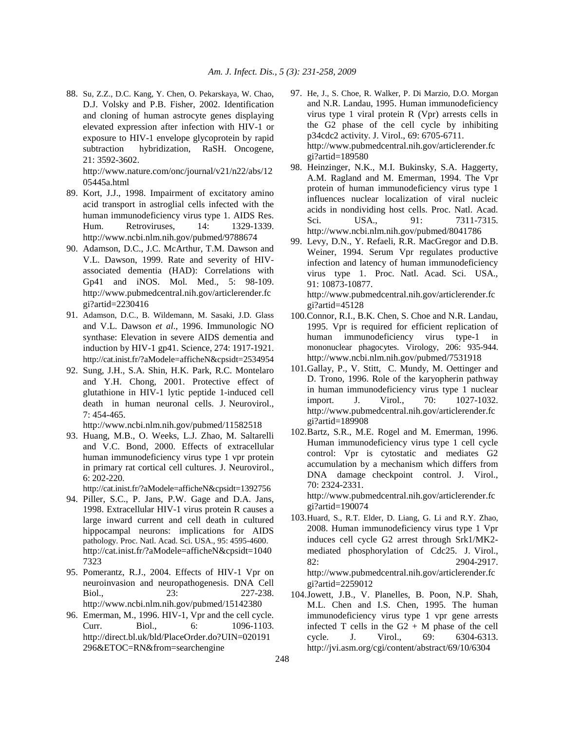88. Su, Z.Z., D.C. Kang, Y. Chen, O. Pekarskaya, W. Chao, D.J. Volsky and P.B. Fisher, 2002. Identification and cloning of human astrocyte genes displaying elevated expression after infection with HIV-1 or exposure to HIV-1 envelope glycoprotein by rapid subtraction hybridization, RaSH. Oncogene, 21: 3592-3602.

 http://www.nature.com/onc/journal/v21/n22/abs/12 05445a.html

- 89. Kort, J.J., 1998. Impairment of excitatory amino acid transport in astroglial cells infected with the human immunodeficiency virus type 1. AIDS Res. Hum. Retroviruses, 14: 1329-1339. http://www.ncbi.nlm.nih.gov/pubmed/9788674
- 90. Adamson, D.C., J.C. McArthur, T.M. Dawson and V.L. Dawson, 1999. Rate and severity of HIVassociated dementia (HAD): Correlations with Gp41 and iNOS. Mol. Med., 5: 98-109. http://www.pubmedcentral.nih.gov/articlerender.fc gi?artid=2230416
- 91. Adamson, D.C., B. Wildemann, M. Sasaki, J.D. Glass and V.L. Dawson *et al*., 1996. Immunologic NO synthase: Elevation in severe AIDS dementia and induction by HIV-1 gp41. Science, 274: 1917-1921. http://cat.inist.fr/?aModele=afficheN&cpsidt=2534954
- 92. Sung, J.H., S.A. Shin, H.K. Park, R.C. Montelaro and Y.H. Chong, 2001. Protective effect of glutathione in HIV-1 lytic peptide 1-induced cell death in human neuronal cells. J. Neurovirol., 7: 454-465.

http://www.ncbi.nlm.nih.gov/pubmed/11582518

93. Huang, M.B., O. Weeks, L.J. Zhao, M. Saltarelli and V.C. Bond, 2000. Effects of extracellular human immunodeficiency virus type 1 vpr protein in primary rat cortical cell cultures. J. Neurovirol., 6: 202-220.

http://cat.inist.fr/?aModele=afficheN&cpsidt=1392756

- 94. Piller, S.C., P. Jans, P.W. Gage and D.A. Jans, 1998. Extracellular HIV-1 virus protein R causes a large inward current and cell death in cultured hippocampal neurons: implications for AIDS pathology. Proc. Natl. Acad. Sci. USA., 95: 4595-4600. http://cat.inist.fr/?aModele=afficheN&cpsidt=1040 7323
- 95. Pomerantz, R.J., 2004. Effects of HIV-1 Vpr on neuroinvasion and neuropathogenesis. DNA Cell Biol., 23: 227-238. http://www.ncbi.nlm.nih.gov/pubmed/15142380
- 96. Emerman, M., 1996. HIV-1, Vpr and the cell cycle. Curr. Biol., 6: 1096-1103. http://direct.bl.uk/bld/PlaceOrder.do?UIN=020191 296&ETOC=RN&from=searchengine
- 97. He, J., S. Choe, R. Walker, P. Di Marzio, D.O. Morgan and N.R. Landau, 1995. Human immunodeficiency virus type 1 viral protein R (Vpr) arrests cells in the G2 phase of the cell cycle by inhibiting p34cdc2 activity. J. Virol., 69: 6705-6711. http://www.pubmedcentral.nih.gov/articlerender.fc gi?artid=189580
- 98. Heinzinger, N.K., M.I. Bukinsky, S.A. Haggerty, A.M. Ragland and M. Emerman, 1994. The Vpr protein of human immunodeficiency virus type 1 influences nuclear localization of viral nucleic acids in nondividing host cells. Proc. Natl. Acad. Sci. USA., 91: 7311-7315. http://www.ncbi.nlm.nih.gov/pubmed/8041786
- 99. Levy, D.N., Y. Refaeli, R.R. MacGregor and D.B. Weiner, 1994. Serum Vpr regulates productive infection and latency of human immunodeficiency virus type 1. Proc. Natl. Acad. Sci. USA., 91: 10873-10877. http://www.pubmedcentral.nih.gov/articlerender.fc gi?artid=45128
- 100.Connor, R.I., B.K. Chen, S. Choe and N.R. Landau, 1995. Vpr is required for efficient replication of human immunodeficiency virus type-1 in mononuclear phagocytes. Virology, 206: 935-944. http://www.ncbi.nlm.nih.gov/pubmed/7531918
- 101. Gallay, P., V. Stitt, C. Mundy, M. Oettinger and D. Trono, 1996. Role of the karyopherin pathway in human immunodeficiency virus type 1 nuclear import. J. Virol., 70: 1027-1032. http://www.pubmedcentral.nih.gov/articlerender.fc gi?artid=189908
- 102. Bartz, S.R., M.E. Rogel and M. Emerman, 1996. Human immunodeficiency virus type 1 cell cycle control: Vpr is cytostatic and mediates G2 accumulation by a mechanism which differs from DNA damage checkpoint control. J. Virol., 70: 2324-2331. http://www.pubmedcentral.nih.gov/articlerender.fc gi?artid=190074
- 103. Huard, S., R.T. Elder, D. Liang, G. Li and R.Y. Zhao, 2008. Human immunodeficiency virus type 1 Vpr induces cell cycle G2 arrest through Srk1/MK2 mediated phosphorylation of Cdc25. J. Virol., 82: 2904-2917. http://www.pubmedcentral.nih.gov/articlerender.fc gi?artid=2259012
- 104. Jowett, J.B., V. Planelles, B. Poon, N.P. Shah, M.L. Chen and I.S. Chen, 1995. The human immunodeficiency virus type 1 vpr gene arrests infected T cells in the  $G2 + M$  phase of the cell cycle. J. Virol., 69: 6304-6313. http://jvi.asm.org/cgi/content/abstract/69/10/6304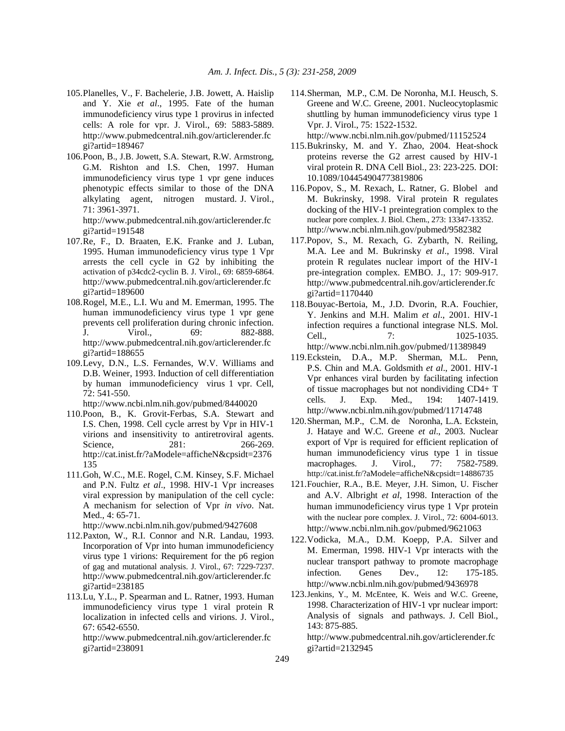- 105. Planelles, V., F. Bachelerie, J.B. Jowett, A. Haislip and Y. Xie *et al*., 1995. Fate of the human immunodeficiency virus type 1 provirus in infected cells: A role for vpr. J. Virol., 69: 5883-5889. http://www.pubmedcentral.nih.gov/articlerender.fc gi?artid=189467
- 106. Poon, B., J.B. Jowett, S.A. Stewart, R.W. Armstrong, G.M. Rishton and I.S. Chen, 1997. Human immunodeficiency virus type 1 vpr gene induces phenotypic effects similar to those of the DNA alkylating agent, nitrogen mustard. J. Virol., 71: 3961-3971.

http://www.pubmedcentral.nih.gov/articlerender.fc gi?artid=191548

- 107. Re, F., D. Braaten, E.K. Franke and J. Luban, 1995. Human immunodeficiency virus type 1 Vpr arrests the cell cycle in G2 by inhibiting the activation of p34cdc2-cyclin B. J. Virol., 69: 6859-6864. http://www.pubmedcentral.nih.gov/articlerender.fc gi?artid=189600
- 108. Rogel, M.E., L.I. Wu and M. Emerman, 1995. The human immunodeficiency virus type 1 vpr gene prevents cell proliferation during chronic infection. J. Virol., 69: 882-888. http://www.pubmedcentral.nih.gov/articlerender.fc gi?artid=188655
- 109. Levy, D.N., L.S. Fernandes, W.V. Williams and D.B. Weiner, 1993. Induction of cell differentiation by human immunodeficiency virus 1 vpr. Cell, 72: 541-550.

http://www.ncbi.nlm.nih.gov/pubmed/8440020

- 110.Poon, B., K. Grovit-Ferbas, S.A. Stewart and I.S. Chen, 1998. Cell cycle arrest by Vpr in HIV-1 virions and insensitivity to antiretroviral agents. Science, 281: 266-269. http://cat.inist.fr/?aModele=afficheN&cpsidt=2376 135
- 111.Goh, W.C., M.E. Rogel, C.M. Kinsey, S.F. Michael and P.N. Fultz *et al*., 1998. HIV-1 Vpr increases viral expression by manipulation of the cell cycle: A mechanism for selection of Vpr *in vivo*. Nat. Med., 4: 65-71.

http://www.ncbi.nlm.nih.gov/pubmed/9427608

- 112. Paxton, W., R.I. Connor and N.R. Landau, 1993. Incorporation of Vpr into human immunodeficiency virus type 1 virions: Requirement for the p6 region of gag and mutational analysis. J. Virol., 67: 7229-7237. http://www.pubmedcentral.nih.gov/articlerender.fc gi?artid=238185
- 113. Lu, Y.L., P. Spearman and L. Ratner, 1993. Human immunodeficiency virus type 1 viral protein R localization in infected cells and virions. J. Virol., 67: 6542-6550.

http://www.pubmedcentral.nih.gov/articlerender.fc gi?artid=238091

114. Sherman, M.P., C.M. De Noronha, M.I. Heusch, S. Greene and W.C. Greene, 2001. Nucleocytoplasmic shuttling by human immunodeficiency virus type 1 Vpr. J. Virol., 75: 1522-1532.

http://www.ncbi.nlm.nih.gov/pubmed/11152524

- 115. Bukrinsky, M. and Y. Zhao, 2004. Heat-shock proteins reverse the G2 arrest caused by HIV-1 viral protein R. DNA Cell Biol., 23: 223-225. DOI: 10.1089/104454904773819806
- 116. Popov, S., M. Rexach, L. Ratner, G. Blobel and M. Bukrinsky, 1998. Viral protein R regulates docking of the HIV-1 preintegration complex to the nuclear pore complex. J. Biol. Chem., 273: 13347-13352. http://www.ncbi.nlm.nih.gov/pubmed/9582382
- 117.Popov, S., M. Rexach, G. Zybarth, N. Reiling, M.A. Lee and M. Bukrinsky *et al*., 1998. Viral protein R regulates nuclear import of the HIV-1 pre-integration complex. EMBO. J., 17: 909-917. http://www.pubmedcentral.nih.gov/articlerender.fc gi?artid=1170440
- 118. Bouyac-Bertoia, M., J.D. Dvorin, R.A. Fouchier, Y. Jenkins and M.H. Malim *et al*., 2001. HIV-1 infection requires a functional integrase NLS. Mol. Cell.,  $7: 1025-1035.$ http://www.ncbi.nlm.nih.gov/pubmed/11389849
- 119. Eckstein, D.A., M.P. Sherman, M.L. Penn, P.S. Chin and M.A. Goldsmith *et al*., 2001. HIV-1 Vpr enhances viral burden by facilitating infection of tissue macrophages but not nondividing CD4+ T cells. J. Exp. Med., 194: 1407-1419. http://www.ncbi.nlm.nih.gov/pubmed/11714748
- 120. Sherman, M.P., C.M. de Noronha, L.A. Eckstein, J. Hataye and W.C. Greene *et al*., 2003. Nuclear export of Vpr is required for efficient replication of human immunodeficiency virus type 1 in tissue macrophages. J. Virol., 77: 7582-7589. http://cat.inist.fr/?aModele=afficheN&cpsidt=14886735
- 121. Fouchier, R.A., B.E. Meyer, J.H. Simon, U. Fischer and A.V. Albright *et al*, 1998. Interaction of the human immunodeficiency virus type 1 Vpr protein with the nuclear pore complex. J. Virol., 72: 6004-6013. http://www.ncbi.nlm.nih.gov/pubmed/9621063
- 122. Vodicka, M.A., D.M. Koepp, P.A. Silver and M. Emerman, 1998. HIV-1 Vpr interacts with the nuclear transport pathway to promote macrophage infection. Genes Dev., 12: 175-185. http://www.ncbi.nlm.nih.gov/pubmed/9436978
- 123. Jenkins, Y., M. McEntee, K. Weis and W.C. Greene, 1998. Characterization of HIV-1 vpr nuclear import: Analysis of signals and pathways. J. Cell Biol., 143: 875-885.

 http://www.pubmedcentral.nih.gov/articlerender.fc gi?artid=2132945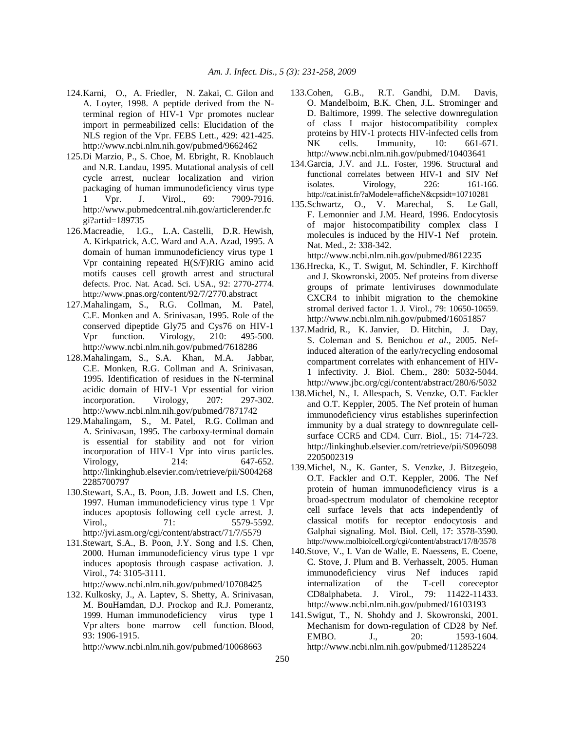- 124. Karni, O., A. Friedler, N. Zakai, C. Gilon and A. Loyter, 1998. A peptide derived from the Nterminal region of HIV-1 Vpr promotes nuclear import in permeabilized cells: Elucidation of the NLS region of the Vpr. FEBS Lett., 429: 421-425. http://www.ncbi.nlm.nih.gov/pubmed/9662462
- 125.Di Marzio, P., S. Choe, M. Ebright, R. Knoblauch and N.R. Landau, 1995. Mutational analysis of cell cycle arrest, nuclear localization and virion packaging of human immunodeficiency virus type Vpr. J. Virol., 69: 7909-7916. http://www.pubmedcentral.nih.gov/articlerender.fc gi?artid=189735
- 126. Macreadie, I.G., L.A. Castelli, D.R. Hewish, A. Kirkpatrick, A.C. Ward and A.A. Azad, 1995. A domain of human immunodeficiency virus type 1 Vpr containing repeated H(S/F)RIG amino acid motifs causes cell growth arrest and structural defects. Proc. Nat. Acad. Sci. USA., 92: 2770-2774. http://www.pnas.org/content/92/7/2770.abstract
- 127. Mahalingam, S., R.G. Collman, M. Patel, C.E. Monken and A. Srinivasan, 1995. Role of the conserved dipeptide Gly75 and Cys76 on HIV-1 Vpr function. Virology, 210: 495-500. http://www.ncbi.nlm.nih.gov/pubmed/7618286
- 128. Mahalingam, S., S.A. Khan, M.A. Jabbar, C.E. Monken, R.G. Collman and A. Srinivasan, 1995. Identification of residues in the N-terminal acidic domain of HIV-1 Vpr essential for virion incorporation. Virology, 207: 297-302. http://www.ncbi.nlm.nih.gov/pubmed/7871742
- 129. Mahalingam, S., M. Patel, R.G. Collman and A. Srinivasan, 1995. The carboxy-terminal domain is essential for stability and not for virion incorporation of HIV-1 Vpr into virus particles. Virology, 214: 647-652. http://linkinghub.elsevier.com/retrieve/pii/S004268 2285700797
- 130.Stewart, S.A., B. Poon, J.B. Jowett and I.S. Chen, 1997. Human immunodeficiency virus type 1 Vpr induces apoptosis following cell cycle arrest. J. Virol., 21: 5579-5592. http://jvi.asm.org/cgi/content/abstract/71/7/5579
- 131.Stewart, S.A., B. Poon, J.Y. Song and I.S. Chen, 2000. Human immunodeficiency virus type 1 vpr induces apoptosis through caspase activation. J. Virol., 74: 3105-3111.

132. Kulkosky, J., A. Laptev, S. Shetty, A. Srinivasan, M. BouHamdan, D.J. Prockop and R.J. Pomerantz, 1999. Human immunodeficiency virus type 1 Vpr alters bone marrow cell function. Blood, 93: 1906-1915.

http://www.ncbi.nlm.nih.gov/pubmed/10068663

- 133.Cohen, G.B., R.T. Gandhi, D.M. Davis, O. Mandelboim, B.K. Chen, J.L. Strominger and D. Baltimore, 1999. The selective downregulation of class I major histocompatibility complex proteins by HIV-1 protects HIV-infected cells from NK cells. Immunity, 10: 661-671. http://www.ncbi.nlm.nih.gov/pubmed/10403641
- 134. Garcia, J.V. and J.L. Foster, 1996. Structural and functional correlates between HIV-1 and SIV Nef isolates. Virology, 226: 161-166. http://cat.inist.fr/?aModele=afficheN&cpsidt=10710281
- 135. Schwartz, O., V. Marechal, S. Le Gall, F. Lemonnier and J.M. Heard, 1996. Endocytosis of major histocompatibility complex class I molecules is induced by the HIV-1 Nef protein. Nat. Med., 2: 338-342.

- 136.Hrecka, K., T. Swigut, M. Schindler, F. Kirchhoff and J. Skowronski, 2005. Nef proteins from diverse groups of primate lentiviruses downmodulate CXCR4 to inhibit migration to the chemokine stromal derived factor 1. J. Virol., 79: 10650-10659. http://www.ncbi.nlm.nih.gov/pubmed/16051857
- 137. Madrid, R., K. Janvier, D. Hitchin, J. Day, S. Coleman and S. Benichou *et al*., 2005. Nefinduced alteration of the early/recycling endosomal compartment correlates with enhancement of HIV-1 infectivity. J. Biol. Chem., 280: 5032-5044. http://www.jbc.org/cgi/content/abstract/280/6/5032
- 138.Michel, N., I. Allespach, S. Venzke, O.T. Fackler and O.T. Keppler, 2005. The Nef protein of human immunodeficiency virus establishes superinfection immunity by a dual strategy to downregulate cellsurface CCR5 and CD4. Curr. Biol., 15: 714-723. http://linkinghub.elsevier.com/retrieve/pii/S096098 2205002319
- 139.Michel, N., K. Ganter, S. Venzke, J. Bitzegeio, O.T. Fackler and O.T. Keppler, 2006. The Nef protein of human immunodeficiency virus is a broad-spectrum modulator of chemokine receptor cell surface levels that acts independently of classical motifs for receptor endocytosis and Galphai signaling. Mol. Biol. Cell, 17: 3578-3590. http://www.molbiolcell.org/cgi/content/abstract/17/8/3578
- 140.Stove, V., I. Van de Walle, E. Naessens, E. Coene, C. Stove, J. Plum and B. Verhasselt, 2005. Human immunodeficiency virus Nef induces rapid internalization of the T-cell coreceptor CD8alphabeta. J. Virol., 79: 11422-11433. http://www.ncbi.nlm.nih.gov/pubmed/16103193
- 141. Swigut, T., N. Shohdy and J. Skowronski, 2001. Mechanism for down-regulation of CD28 by Nef. EMBO. J., 20: 1593-1604. http://www.ncbi.nlm.nih.gov/pubmed/11285224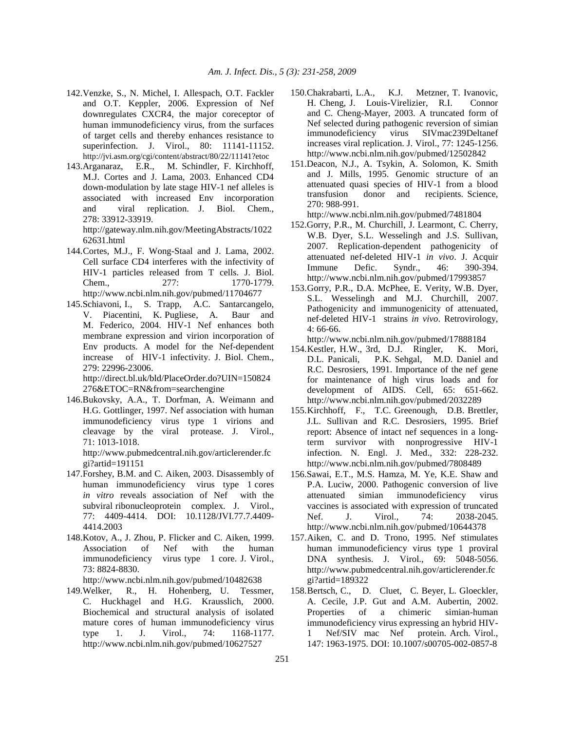- 142.Venzke, S., N. Michel, I. Allespach, O.T. Fackler and O.T. Keppler, 2006. Expression of Nef downregulates CXCR4, the major coreceptor of human immunodeficiency virus, from the surfaces of target cells and thereby enhances resistance to superinfection. J. Virol., 80: 11141-11152. http://jvi.asm.org/cgi/content/abstract/80/22/11141?etoc
- 143.Arganaraz, E.R., M. Schindler, F. Kirchhoff, M.J. Cortes and J. Lama, 2003. Enhanced CD4 down-modulation by late stage HIV-1 nef alleles is associated with increased Env incorporation and viral replication. J. Biol. Chem., 278: 33912-33919.

http://gateway.nlm.nih.gov/MeetingAbstracts/1022 62631.html

- 144. Cortes, M.J., F. Wong-Staal and J. Lama, 2002. Cell surface CD4 interferes with the infectivity of HIV-1 particles released from T cells. J. Biol. Chem.. 277: 1770-1779. http://www.ncbi.nlm.nih.gov/pubmed/11704677
- 145.Schiavoni, I., S. Trapp, A.C. Santarcangelo, V. Piacentini, K. Pugliese, A. Baur and M. Federico, 2004. HIV-1 Nef enhances both membrane expression and virion incorporation of Env products. A model for the Nef-dependent increase of HIV-1 infectivity. J. Biol. Chem., 279: 22996-23006. http://direct.bl.uk/bld/PlaceOrder.do?UIN=150824

276&ETOC=RN&from=searchengine

146.Bukovsky, A.A., T. Dorfman, A. Weimann and H.G. Gottlinger, 1997. Nef association with human immunodeficiency virus type 1 virions and cleavage by the viral protease. J. Virol., 71: 1013-1018.

http://www.pubmedcentral.nih.gov/articlerender.fc gi?artid=191151

- 147.Forshey, B.M. and C. Aiken, 2003. Disassembly of human immunodeficiency virus type 1 cores *in vitro* reveals association of Nef with the subviral ribonucleoprotein complex. J. Virol., 77: 4409-4414. DOI: 10.1128/JVI.77.7.4409- 4414.2003
- 148.Kotov, A., J. Zhou, P. Flicker and C. Aiken, 1999. Association of Nef with the human immunodeficiency virus type 1 core. J. Virol., 73: 8824-8830.

http://www.ncbi.nlm.nih.gov/pubmed/10482638

149.Welker, R., H. Hohenberg, U. Tessmer, C. Huckhagel and H.G. Krausslich, 2000. Biochemical and structural analysis of isolated mature cores of human immunodeficiency virus type 1. J. Virol., 74: 1168-1177. http://www.ncbi.nlm.nih.gov/pubmed/10627527

- 150.Chakrabarti, L.A., K.J. Metzner, T. Ivanovic, H. Cheng, J. Louis-Virelizier, R.I. Connor and C. Cheng-Mayer, 2003. A truncated form of Nef selected during pathogenic reversion of simian immunodeficiency virus SIVmac239Deltanef increases viral replication. J. Virol., 77: 1245-1256. http://www.ncbi.nlm.nih.gov/pubmed/12502842
- 151.Deacon, N.J., A. Tsykin, A. Solomon, K. Smith and J. Mills, 1995. Genomic structure of an attenuated quasi species of HIV-1 from a blood transfusion donor and recipients. Science, 270: 988-991.

http://www.ncbi.nlm.nih.gov/pubmed/7481804

- 152.Gorry, P.R., M. Churchill, J. Learmont, C. Cherry, W.B. Dyer, S.L. Wesselingh and J.S. Sullivan, 2007. Replication-dependent pathogenicity of attenuated nef-deleted HIV-1 *in vivo*. J. Acquir Immune Defic. Syndr., 46: 390-394. http://www.ncbi.nlm.nih.gov/pubmed/17993857
- 153. Gorry, P.R., D.A. McPhee, E. Verity, W.B. Dyer, S.L. Wesselingh and M.J. Churchill, 2007. Pathogenicity and immunogenicity of attenuated, nef-deleted HIV-1 strains *in vivo*. Retrovirology, 4: 66-66.

- 154. Kestler, H.W., 3rd, D.J. Ringler, K. Mori, D.L. Panicali, P.K. Sehgal, M.D. Daniel and R.C. Desrosiers, 1991. Importance of the nef gene for maintenance of high virus loads and for development of AIDS. Cell, 65: 651-662. http://www.ncbi.nlm.nih.gov/pubmed/2032289
- 155. Kirchhoff, F., T.C. Greenough, D.B. Brettler, J.L. Sullivan and R.C. Desrosiers, 1995. Brief report: Absence of intact nef sequences in a longterm survivor with nonprogressive HIV-1 infection. N. Engl. J. Med., 332: 228-232. http://www.ncbi.nlm.nih.gov/pubmed/7808489
- 156.Sawai, E.T., M.S. Hamza, M. Ye, K.E. Shaw and P.A. Luciw, 2000. Pathogenic conversion of live attenuated simian immunodeficiency virus vaccines is associated with expression of truncated Nef. J. Virol., 74: 2038-2045. http://www.ncbi.nlm.nih.gov/pubmed/10644378
- 157. Aiken, C. and D. Trono, 1995. Nef stimulates human immunodeficiency virus type 1 proviral DNA synthesis. J. Virol., 69: 5048-5056. http://www.pubmedcentral.nih.gov/articlerender.fc gi?artid=189322
- 158. Bertsch, C., D. Cluet, C. Beyer, L. Gloeckler, A. Cecile, J.P. Gut and A.M. Aubertin, 2002. Properties of a chimeric simian-human immunodeficiency virus expressing an hybrid HIV-1 Nef/SIV mac Nef protein. Arch. Virol., 147: 1963-1975. DOI: 10.1007/s00705-002-0857-8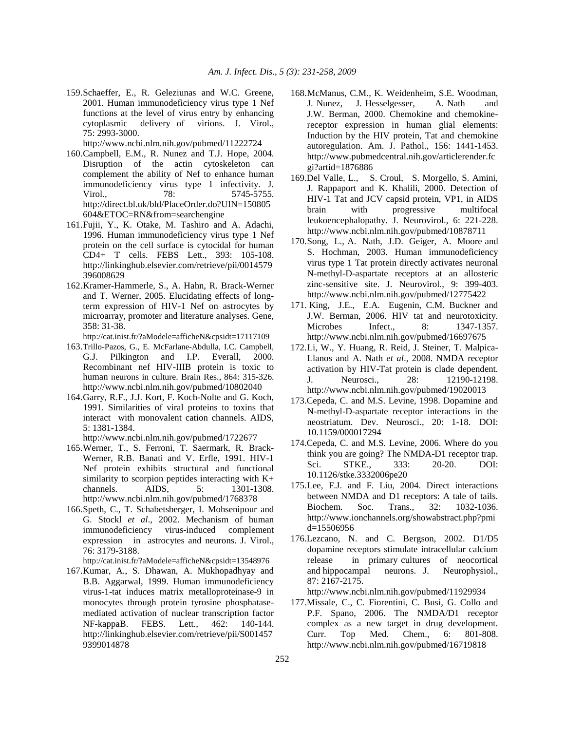159. Schaeffer, E., R. Geleziunas and W.C. Greene, 2001. Human immunodeficiency virus type 1 Nef functions at the level of virus entry by enhancing cytoplasmic delivery of virions. J. Virol., 75: 2993-3000.

http://www.ncbi.nlm.nih.gov/pubmed/11222724

- 160. Campbell, E.M., R. Nunez and T.J. Hope, 2004. Disruption of the actin cytoskeleton can complement the ability of Nef to enhance human immunodeficiency virus type 1 infectivity. J. Virol., 78: 5745-5755. http://direct.bl.uk/bld/PlaceOrder.do?UIN=150805 604&ETOC=RN&from=searchengine
- 161. Fujii, Y., K. Otake, M. Tashiro and A. Adachi, 1996. Human immunodeficiency virus type 1 Nef protein on the cell surface is cytocidal for human CD4+ T cells. FEBS Lett., 393: 105-108. http://linkinghub.elsevier.com/retrieve/pii/0014579 396008629
- 162. Kramer-Hammerle, S., A. Hahn, R. Brack-Werner and T. Werner, 2005. Elucidating effects of longterm expression of HIV-1 Nef on astrocytes by microarray, promoter and literature analyses. Gene, 358: 31-38.

http://cat.inist.fr/?aModele=afficheN&cpsidt=17117109

- 163. Trillo-Pazos, G., E. McFarlane-Abdulla, I.C. Campbell, G.J. Pilkington and I.P. Everall, 2000. Recombinant nef HIV-IIIB protein is toxic to human neurons in culture. Brain Res., 864: 315-326. http://www.ncbi.nlm.nih.gov/pubmed/10802040
- 164. Garry, R.F., J.J. Kort, F. Koch-Nolte and G. Koch, 1991. Similarities of viral proteins to toxins that interact with monovalent cation channels. AIDS, 5: 1381-1384.

http://www.ncbi.nlm.nih.gov/pubmed/1722677

- 165. Werner, T., S. Ferroni, T. Saermark, R. Brack-Werner, R.B. Banati and V. Erfle, 1991. HIV-1 Nef protein exhibits structural and functional similarity to scorpion peptides interacting with K+ channels. AIDS, 5: 1301-1308. http://www.ncbi.nlm.nih.gov/pubmed/1768378
- 166. Speth, C., T. Schabetsberger, I. Mohsenipour and G. Stockl *et al*., 2002. Mechanism of human immunodeficiency virus-induced complement expression in astrocytes and neurons. J. Virol., 76: 3179-3188.

http://cat.inist.fr/?aModele=afficheN&cpsidt=13548976

167. Kumar, A., S. Dhawan, A. Mukhopadhyay and B.B. Aggarwal, 1999. Human immunodeficiency virus-1-tat induces matrix metalloproteinase-9 in monocytes through protein tyrosine phosphatasemediated activation of nuclear transcription factor NF-kappaB. FEBS. Lett., 462: 140-144. http://linkinghub.elsevier.com/retrieve/pii/S001457 9399014878

- 168. McManus, C.M., K. Weidenheim, S.E. Woodman, J. Nunez, J. Hesselgesser, A. Nath and J.W. Berman, 2000. Chemokine and chemokinereceptor expression in human glial elements: Induction by the HIV protein, Tat and chemokine autoregulation. Am. J. Pathol., 156: 1441-1453. http://www.pubmedcentral.nih.gov/articlerender.fc gi?artid=1876886
- 169.Del Valle, L., S. Croul, S. Morgello, S. Amini, J. Rappaport and K. Khalili, 2000. Detection of HIV-1 Tat and JCV capsid protein, VP1, in AIDS brain with progressive multifocal leukoencephalopathy. J. Neurovirol., 6: 221-228. http://www.ncbi.nlm.nih.gov/pubmed/10878711
- 170. Song, L., A. Nath, J.D. Geiger, A. Moore and S. Hochman, 2003. Human immunodeficiency virus type 1 Tat protein directly activates neuronal N-methyl-D-aspartate receptors at an allosteric zinc-sensitive site. J. Neurovirol., 9: 399-403. http://www.ncbi.nlm.nih.gov/pubmed/12775422
- 171. King, J.E., E.A. Eugenin, C.M. Buckner and J.W. Berman, 2006. HIV tat and neurotoxicity. Microbes Infect., 8: 1347-1357. http://www.ncbi.nlm.nih.gov/pubmed/16697675
- 172. Li, W., Y. Huang, R. Reid, J. Steiner, T. Malpica-Llanos and A. Nath *et al*., 2008. NMDA receptor activation by HIV-Tat protein is clade dependent. J. Neurosci., 28: 12190-12198. http://www.ncbi.nlm.nih.gov/pubmed/19020013
- 173.Cepeda, C. and M.S. Levine, 1998. Dopamine and N-methyl-D-aspartate receptor interactions in the neostriatum. Dev. Neurosci., 20: 1-18. DOI: 10.1159/000017294
- 174.Cepeda, C. and M.S. Levine, 2006. Where do you think you are going? The NMDA-D1 receptor trap. Sci. STKE., 333: 20-20. DOI: 10.1126/stke.3332006pe20
- 175. Lee, F.J. and F. Liu, 2004. Direct interactions between NMDA and D1 receptors: A tale of tails. Biochem. Soc. Trans., 32: 1032-1036. http://www.ionchannels.org/showabstract.php?pmi d=15506956
- 176.Lezcano, N. and C. Bergson, 2002. D1/D5 dopamine receptors stimulate intracellular calcium release in primary cultures of neocortical and hippocampal neurons. J. Neurophysiol., 87: 2167-2175.

http://www.ncbi.nlm.nih.gov/pubmed/11929934

177.Missale, C., C. Fiorentini, C. Busi, G. Collo and P.F. Spano, 2006. The NMDA/D1 receptor complex as a new target in drug development. Curr. Top Med. Chem., 6: 801-808. http://www.ncbi.nlm.nih.gov/pubmed/16719818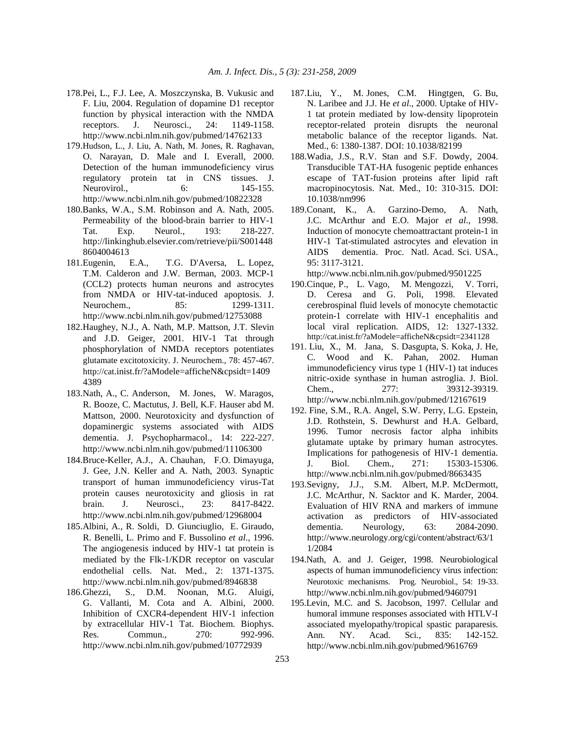- 178.Pei, L., F.J. Lee, A. Moszczynska, B. Vukusic and F. Liu, 2004. Regulation of dopamine D1 receptor function by physical interaction with the NMDA receptors. J. Neurosci., 24: 1149-1158. http://www.ncbi.nlm.nih.gov/pubmed/14762133
- 179.Hudson, L., J. Liu, A. Nath, M. Jones, R. Raghavan, O. Narayan, D. Male and I. Everall, 2000. Detection of the human immunodeficiency virus regulatory protein tat in CNS tissues. J. Neurovirol., 6: 145-155. http://www.ncbi.nlm.nih.gov/pubmed/10822328
- 180.Banks, W.A., S.M. Robinson and A. Nath, 2005. Permeability of the blood-brain barrier to HIV-1 Tat. Exp. Neurol., 193: 218-227. http://linkinghub.elsevier.com/retrieve/pii/S001448 8604004613
- 181.Eugenin, E.A., T.G. D'Aversa, L. Lopez, T.M. Calderon and J.W. Berman, 2003. MCP-1 (CCL2) protects human neurons and astrocytes from NMDA or HIV-tat-induced apoptosis. J. Neurochem., 85: 1299-1311. http://www.ncbi.nlm.nih.gov/pubmed/12753088
- 182.Haughey, N.J., A. Nath, M.P. Mattson, J.T. Slevin and J.D. Geiger, 2001. HIV-1 Tat through phosphorylation of NMDA receptors potentiates glutamate excitotoxicity. J. Neurochem., 78: 457-467. http://cat.inist.fr/?aModele=afficheN&cpsidt=1409 4389
- 183.Nath, A., C. Anderson, M. Jones, W. Maragos, R. Booze, C. Mactutus, J. Bell, K.F. Hauser abd M. Mattson, 2000. Neurotoxicity and dysfunction of dopaminergic systems associated with AIDS dementia. J. Psychopharmacol., 14: 222-227. http://www.ncbi.nlm.nih.gov/pubmed/11106300
- 184.Bruce-Keller, A.J., A. Chauhan, F.O. Dimayuga, J. Gee, J.N. Keller and A. Nath, 2003. Synaptic transport of human immunodeficiency virus-Tat protein causes neurotoxicity and gliosis in rat brain. J. Neurosci., 23: 8417-8422. http://www.ncbi.nlm.nih.gov/pubmed/12968004
- 185.Albini, A., R. Soldi, D. Giunciuglio, E. Giraudo, R. Benelli, L. Primo and F. Bussolino *et al*., 1996. The angiogenesis induced by HIV-1 tat protein is mediated by the Flk-1/KDR receptor on vascular endothelial cells. Nat. Med., 2: 1371-1375. http://www.ncbi.nlm.nih.gov/pubmed/8946838
- 186.Ghezzi, S., D.M. Noonan, M.G. Aluigi, G. Vallanti, M. Cota and A. Albini, 2000. Inhibition of CXCR4-dependent HIV-1 infection by extracellular HIV-1 Tat. Biochem. Biophys. Res. Commun., 270: 992-996. http://www.ncbi.nlm.nih.gov/pubmed/10772939
- 187.Liu, Y., M. Jones, C.M. Hingtgen, G. Bu, N. Laribee and J.J. He *et al*., 2000. Uptake of HIV-1 tat protein mediated by low-density lipoprotein receptor-related protein disrupts the neuronal metabolic balance of the receptor ligands. Nat. Med., 6: 1380-1387. DOI: 10.1038/82199
- 188.Wadia, J.S., R.V. Stan and S.F. Dowdy, 2004. Transducible TAT-HA fusogenic peptide enhances escape of TAT-fusion proteins after lipid raft macropinocytosis. Nat. Med., 10: 310-315. DOI: 10.1038/nm996
- 189.Conant, K., A. Garzino-Demo, A. Nath, J.C. McArthur and E.O. Major *et al*., 1998. Induction of monocyte chemoattractant protein-1 in HIV-1 Tat-stimulated astrocytes and elevation in AIDS dementia. Proc. Natl. Acad. Sci. USA., 95: 3117-3121.

- 190.Cinque, P., L. Vago, M. Mengozzi, V. Torri, D. Ceresa and G. Poli, 1998. Elevated cerebrospinal fluid levels of monocyte chemotactic protein-1 correlate with HIV-1 encephalitis and local viral replication. AIDS, 12: 1327-1332. http://cat.inist.fr/?aModele=afficheN&cpsidt=2341128
- 191. Liu, X., M. Jana, S. Dasgupta, S. Koka, J. He, C. Wood and K. Pahan, 2002. Human immunodeficiency virus type 1 (HIV-1) tat induces nitric-oxide synthase in human astroglia. J. Biol. Chem., 277: 39312-39319. http://www.ncbi.nlm.nih.gov/pubmed/12167619
- 192. Fine, S.M., R.A. Angel, S.W. Perry, L.G. Epstein, J.D. Rothstein, S. Dewhurst and H.A. Gelbard, 1996. Tumor necrosis factor alpha inhibits glutamate uptake by primary human astrocytes. Implications for pathogenesis of HIV-1 dementia. J. Biol. Chem., 271: 15303-15306. http://www.ncbi.nlm.nih.gov/pubmed/8663435
- 193.Sevigny, J.J., S.M. Albert, M.P. McDermott, J.C. McArthur, N. Sacktor and K. Marder, 2004. Evaluation of HIV RNA and markers of immune activation as predictors of HIV-associated dementia. Neurology, 63: 2084-2090. http://www.neurology.org/cgi/content/abstract/63/1 1/2084
- 194.Nath, A. and J. Geiger, 1998. Neurobiological aspects of human immunodeficiency virus infection: Neurotoxic mechanisms. Prog. Neurobiol., 54: 19-33. http://www.ncbi.nlm.nih.gov/pubmed/9460791
- 195.Levin, M.C. and S. Jacobson, 1997. Cellular and humoral immune responses associated with HTLV-I associated myelopathy/tropical spastic paraparesis. Ann. NY. Acad. Sci., 835: 142-152. http://www.ncbi.nlm.nih.gov/pubmed/9616769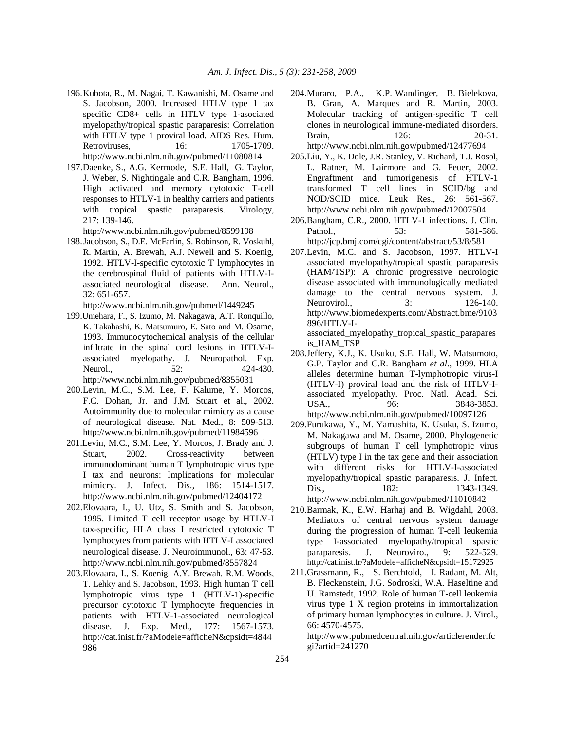- 196. Kubota, R., M. Nagai, T. Kawanishi, M. Osame and S. Jacobson, 2000. Increased HTLV type 1 tax specific CD8+ cells in HTLV type 1-asociated myelopathy/tropical spastic paraparesis: Correlation with HTLV type 1 proviral load. AIDS Res. Hum. Retroviruses, 16: 1705-1709. http://www.ncbi.nlm.nih.gov/pubmed/11080814
- 197.Daenke, S., A.G. Kermode, S.E. Hall, G. Taylor, J. Weber, S. Nightingale and C.R. Bangham, 1996. High activated and memory cytotoxic T-cell responses to HTLV-1 in healthy carriers and patients with tropical spastic paraparesis. Virology, 217: 139-146.

198. Jacobson, S., D.E. McFarlin, S. Robinson, R. Voskuhl, R. Martin, A. Brewah, A.J. Newell and S. Koenig, 1992. HTLV-I-specific cytotoxic T lymphocytes in the cerebrospinal fluid of patients with HTLV-Iassociated neurological disease. Ann. Neurol., 32: 651-657.

http://www.ncbi.nlm.nih.gov/pubmed/1449245

- 199.Umehara, F., S. Izumo, M. Nakagawa, A.T. Ronquillo, K. Takahashi, K. Matsumuro, E. Sato and M. Osame, 1993. Immunocytochemical analysis of the cellular infiltrate in the spinal cord lesions in HTLV-Iassociated myelopathy. J. Neuropathol. Exp. Neurol., 52: 424-430. http://www.ncbi.nlm.nih.gov/pubmed/8355031
- 200.Levin, M.C., S.M. Lee, F. Kalume, Y. Morcos, F.C. Dohan, Jr. and J.M. Stuart et al., 2002. Autoimmunity due to molecular mimicry as a cause of neurological disease. Nat. Med., 8: 509-513. http://www.ncbi.nlm.nih.gov/pubmed/11984596
- 201.Levin, M.C., S.M. Lee, Y. Morcos, J. Brady and J. Stuart, 2002. Cross-reactivity between immunodominant human T lymphotropic virus type I tax and neurons: Implications for molecular mimicry. J. Infect. Dis., 186: 1514-1517. http://www.ncbi.nlm.nih.gov/pubmed/12404172
- 202.Elovaara, I., U. Utz, S. Smith and S. Jacobson, 1995. Limited T cell receptor usage by HTLV-I tax-specific, HLA class I restricted cytotoxic T lymphocytes from patients with HTLV-I associated neurological disease. J. Neuroimmunol., 63: 47-53. http://www.ncbi.nlm.nih.gov/pubmed/8557824
- 203.Elovaara, I., S. Koenig, A.Y. Brewah, R.M. Woods, T. Lehky and S. Jacobson, 1993. High human T cell lymphotropic virus type 1 (HTLV-1)-specific precursor cytotoxic T lymphocyte frequencies in patients with HTLV-1-associated neurological disease. J. Exp. Med., 177: 1567-1573. http://cat.inist.fr/?aModele=afficheN&cpsidt=4844 986
- 204.Muraro, P.A., K.P. Wandinger, B. Bielekova, B. Gran, A. Marques and R. Martin, 2003. Molecular tracking of antigen-specific T cell clones in neurological immune-mediated disorders. Brain, 126: 20-31. http://www.ncbi.nlm.nih.gov/pubmed/12477694
- 205.Liu, Y., K. Dole, J.R. Stanley, V. Richard, T.J. Rosol, L. Ratner, M. Lairmore and G. Feuer, 2002. Engraftment and tumorigenesis of HTLV-1 transformed T cell lines in SCID/bg and NOD/SCID mice. Leuk Res., 26: 561-567. http://www.ncbi.nlm.nih.gov/pubmed/12007504
- 206.Bangham, C.R., 2000. HTLV-1 infections. J. Clin. Pathol.. 53: 581-586. http://jcp.bmj.com/cgi/content/abstract/53/8/581
- 207.Levin, M.C. and S. Jacobson, 1997. HTLV-I associated myelopathy/tropical spastic paraparesis (HAM/TSP): A chronic progressive neurologic disease associated with immunologically mediated damage to the central nervous system. J. Neurovirol., 3: 126-140. http://www.biomedexperts.com/Abstract.bme/9103 896/HTLV-Iassociated\_myelopathy\_tropical\_spastic\_parapares
- is\_HAM\_TSP 208.Jeffery, K.J., K. Usuku, S.E. Hall, W. Matsumoto, G.P. Taylor and C.R. Bangham *et al*., 1999. HLA alleles determine human T-lymphotropic virus-I (HTLV-I) proviral load and the risk of HTLV-Iassociated myelopathy. Proc. Natl. Acad. Sci. USA., 96: 3848-3853. http://www.ncbi.nlm.nih.gov/pubmed/10097126
- 209.Furukawa, Y., M. Yamashita, K. Usuku, S. Izumo, M. Nakagawa and M. Osame, 2000. Phylogenetic subgroups of human T cell lymphotropic virus (HTLV) type I in the tax gene and their association with different risks for HTLV-I-associated myelopathy/tropical spastic paraparesis. J. Infect. Dis., 182: 1343-1349.

http://www.ncbi.nlm.nih.gov/pubmed/11010842

- 210.Barmak, K., E.W. Harhaj and B. Wigdahl, 2003. Mediators of central nervous system damage during the progression of human T-cell leukemia type I-associated myelopathy/tropical spastic paraparesis. J. Neuroviro., 9: 522-529. http://cat.inist.fr/?aModele=afficheN&cpsidt=15172925
- 211.Grassmann, R., S. Berchtold, I. Radant, M. Alt, B. Fleckenstein, J.G. Sodroski, W.A. Haseltine and U. Ramstedt, 1992. Role of human T-cell leukemia virus type 1 X region proteins in immortalization of primary human lymphocytes in culture. J. Virol., 66: 4570-4575.

http://www.pubmedcentral.nih.gov/articlerender.fc gi?artid=241270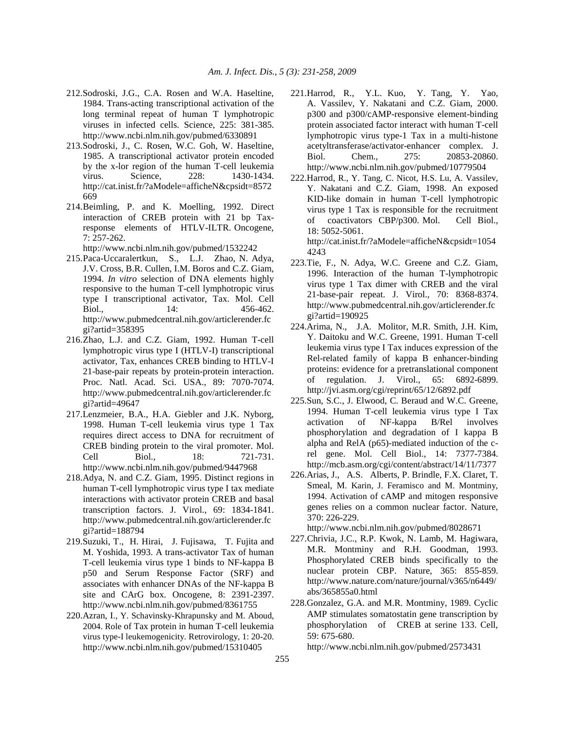- 212.Sodroski, J.G., C.A. Rosen and W.A. Haseltine, 1984. Trans-acting transcriptional activation of the long terminal repeat of human T lymphotropic viruses in infected cells. Science, 225: 381-385. http://www.ncbi.nlm.nih.gov/pubmed/6330891
- 213.Sodroski, J., C. Rosen, W.C. Goh, W. Haseltine, 1985. A transcriptional activator protein encoded by the x-lor region of the human T-cell leukemia virus. Science, 228: 1430-1434. http://cat.inist.fr/?aModele=afficheN&cpsidt=8572 669
- 214. Beimling, P. and K. Moelling, 1992. Direct interaction of CREB protein with 21 bp Taxresponse elements of HTLV-ILTR. Oncogene, 7: 257-262.

- 215. Paca-Uccaralertkun, S., L.J. Zhao, N. Adya, J.V. Cross, B.R. Cullen, I.M. Boros and C.Z. Giam, 1994. *In vitro* selection of DNA elements highly responsive to the human T-cell lymphotropic virus type I transcriptional activator, Tax. Mol. Cell Biol., 14: 456-462. http://www.pubmedcentral.nih.gov/articlerender.fc gi?artid=358395
- 216. Zhao, L.J. and C.Z. Giam, 1992. Human T-cell lymphotropic virus type I (HTLV-I) transcriptional activator, Tax, enhances CREB binding to HTLV-I 21-base-pair repeats by protein-protein interaction. Proc. Natl. Acad. Sci. USA., 89: 7070-7074. http://www.pubmedcentral.nih.gov/articlerender.fc gi?artid=49647
- 217.Lenzmeier, B.A., H.A. Giebler and J.K. Nyborg, 1998. Human T-cell leukemia virus type 1 Tax requires direct access to DNA for recruitment of CREB binding protein to the viral promoter. Mol. Cell Biol., 18: 721-731. http://www.ncbi.nlm.nih.gov/pubmed/9447968
- 218.Adya, N. and C.Z. Giam, 1995. Distinct regions in human T-cell lymphotropic virus type I tax mediate interactions with activator protein CREB and basal transcription factors. J. Virol., 69: 1834-1841. http://www.pubmedcentral.nih.gov/articlerender.fc gi?artid=188794
- 219.Suzuki, T., H. Hirai, J. Fujisawa, T. Fujita and M. Yoshida, 1993. A trans-activator Tax of human T-cell leukemia virus type 1 binds to NF-kappa B p50 and Serum Response Factor (SRF) and associates with enhancer DNAs of the NF-kappa B site and CArG box. Oncogene, 8: 2391-2397. http://www.ncbi.nlm.nih.gov/pubmed/8361755
- 220.Azran, I., Y. Schavinsky-Khrapunsky and M. Aboud, 2004. Role of Tax protein in human T-cell leukemia virus type-I leukemogenicity. Retrovirology, 1: 20-20. http://www.ncbi.nlm.nih.gov/pubmed/15310405
- 221.Harrod, R., Y.L. Kuo, Y. Tang, Y. Yao, A. Vassilev, Y. Nakatani and C.Z. Giam, 2000. p300 and p300/cAMP-responsive element-binding protein associated factor interact with human T-cell lymphotropic virus type-1 Tax in a multi-histone acetyltransferase/activator-enhancer complex. J. Biol. Chem., 275: 20853-20860. http://www.ncbi.nlm.nih.gov/pubmed/10779504
- 222.Harrod, R., Y. Tang, C. Nicot, H.S. Lu, A. Vassilev, Y. Nakatani and C.Z. Giam, 1998. An exposed KID-like domain in human T-cell lymphotropic virus type 1 Tax is responsible for the recruitment of coactivators CBP/p300. Mol. Cell Biol., 18: 5052-5061. http://cat.inist.fr/?aModele=afficheN&cpsidt=1054

4243

- 223.Tie, F., N. Adya, W.C. Greene and C.Z. Giam, 1996. Interaction of the human T-lymphotropic virus type 1 Tax dimer with CREB and the viral 21-base-pair repeat. J. Virol., 70: 8368-8374. http://www.pubmedcentral.nih.gov/articlerender.fc gi?artid=190925
- 224.Arima, N., J.A. Molitor, M.R. Smith, J.H. Kim, Y. Daitoku and W.C. Greene, 1991. Human T-cell leukemia virus type I Tax induces expression of the Rel-related family of kappa B enhancer-binding proteins: evidence for a pretranslational component of regulation. J. Virol., 65: 6892-6899. http://jvi.asm.org/cgi/reprint/65/12/6892.pdf
- 225.Sun, S.C., J. Elwood, C. Beraud and W.C. Greene, 1994. Human T-cell leukemia virus type I Tax activation of NF-kappa B/Rel involves phosphorylation and degradation of I kappa B alpha and RelA (p65)-mediated induction of the crel gene. Mol. Cell Biol., 14: 7377-7384. http://mcb.asm.org/cgi/content/abstract/14/11/7377
- 226.Arias, J., A.S. Alberts, P. Brindle, F.X. Claret, T. Smeal, M. Karin, J. Feramisco and M. Montminy, 1994. Activation of cAMP and mitogen responsive genes relies on a common nuclear factor. Nature, 370: 226-229.

http://www.ncbi.nlm.nih.gov/pubmed/8028671

- 227. Chrivia, J.C., R.P. Kwok, N. Lamb, M. Hagiwara, M.R. Montminy and R.H. Goodman, 1993. Phosphorylated CREB binds specifically to the nuclear protein CBP. Nature, 365: 855-859. http://www.nature.com/nature/journal/v365/n6449/ abs/365855a0.html
- 228.Gonzalez, G.A. and M.R. Montminy, 1989. Cyclic AMP stimulates somatostatin gene transcription by phosphorylation of CREB at serine 133. Cell, 59: 675-680.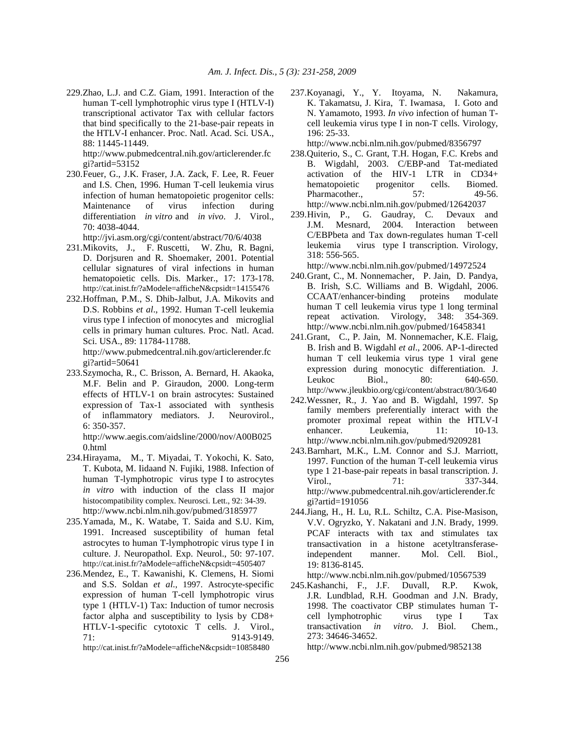229.Zhao, L.J. and C.Z. Giam, 1991. Interaction of the human T-cell lymphotrophic virus type I (HTLV-I) transcriptional activator Tax with cellular factors that bind specifically to the 21-base-pair repeats in the HTLV-I enhancer. Proc. Natl. Acad. Sci. USA., 88: 11445-11449.

http://www.pubmedcentral.nih.gov/articlerender.fc gi?artid=53152

230. Feuer, G., J.K. Fraser, J.A. Zack, F. Lee, R. Feuer and I.S. Chen, 1996. Human T-cell leukemia virus infection of human hematopoietic progenitor cells: Maintenance of virus infection during differentiation *in vitro* and *in vivo*. J. Virol., 70: 4038-4044.

http://jvi.asm.org/cgi/content/abstract/70/6/4038

- 231.Mikovits, J., F. Ruscetti, W. Zhu, R. Bagni, D. Dorjsuren and R. Shoemaker, 2001. Potential cellular signatures of viral infections in human hematopoietic cells. Dis. Marker., 17: 173-178. http://cat.inist.fr/?aModele=afficheN&cpsidt=14155476
- 232.Hoffman, P.M., S. Dhib-Jalbut, J.A. Mikovits and D.S. Robbins *et al*., 1992. Human T-cell leukemia virus type I infection of monocytes and microglial cells in primary human cultures. Proc. Natl. Acad. Sci. USA., 89: 11784-11788.

http://www.pubmedcentral.nih.gov/articlerender.fc gi?artid=50641

233.Szymocha, R., C. Brisson, A. Bernard, H. Akaoka, M.F. Belin and P. Giraudon, 2000. Long-term effects of HTLV-1 on brain astrocytes: Sustained expression of Tax-1 associated with synthesis of inflammatory mediators. J. Neurovirol., 6: 350-357.

http://www.aegis.com/aidsline/2000/nov/A00B025 0.html

- 234.Hirayama, M., T. Miyadai, T. Yokochi, K. Sato, T. Kubota, M. Iidaand N. Fujiki, 1988. Infection of human T-lymphotropic virus type I to astrocytes *in vitro* with induction of the class II major histocompatibility complex. Neurosci. Lett., 92: 34-39. http://www.ncbi.nlm.nih.gov/pubmed/3185977
- 235.Yamada, M., K. Watabe, T. Saida and S.U. Kim, 1991. Increased susceptibility of human fetal astrocytes to human T-lymphotropic virus type I in culture. J. Neuropathol. Exp. Neurol., 50: 97-107. http://cat.inist.fr/?aModele=afficheN&cpsidt=4505407
- 236.Mendez, E., T. Kawanishi, K. Clemens, H. Siomi and S.S. Soldan *et al*., 1997. Astrocyte-specific expression of human T-cell lymphotropic virus type 1 (HTLV-1) Tax: Induction of tumor necrosis factor alpha and susceptibility to lysis by CD8+ HTLV-1-specific cytotoxic T cells. J. Virol., 71: 9143-9149.

http://cat.inist.fr/?aModele=afficheN&cpsidt=10858480

237.Koyanagi, Y., Y. Itoyama, N. Nakamura, K. Takamatsu, J. Kira, T. Iwamasa, I. Goto and N. Yamamoto, 1993. *In vivo* infection of human Tcell leukemia virus type I in non-T cells. Virology, 196: 25-33.

http://www.ncbi.nlm.nih.gov/pubmed/8356797

- 238.Quiterio, S., C. Grant, T.H. Hogan, F.C. Krebs and B. Wigdahl, 2003. C/EBP-and Tat-mediated activation of the HIV-1 LTR in CD34+ hematopoietic progenitor cells. Biomed. Pharmacother., 57: 49-56. http://www.ncbi.nlm.nih.gov/pubmed/12642037
- 239. Hivin, P., G. Gaudray, C. Devaux and J.M. Mesnard, 2004. Interaction between C/EBPbeta and Tax down-regulates human T-cell leukemia virus type I transcription. Virology, 318: 556-565.

http://www.ncbi.nlm.nih.gov/pubmed/14972524

- 240. Grant, C., M. Nonnemacher, P. Jain, D. Pandya, B. Irish, S.C. Williams and B. Wigdahl, 2006. CCAAT/enhancer-binding proteins modulate human T cell leukemia virus type 1 long terminal repeat activation. Virology, 348: 354-369. http://www.ncbi.nlm.nih.gov/pubmed/16458341
- 241.Grant, C., P. Jain, M. Nonnemacher, K.E. Flaig, B. Irish and B. Wigdahl *et al*., 2006. AP-1-directed human T cell leukemia virus type 1 viral gene expression during monocytic differentiation. J. Leukoc Biol., 80: 640-650. http://www.jleukbio.org/cgi/content/abstract/80/3/640
- 242.Wessner, R., J. Yao and B. Wigdahl, 1997. Sp family members preferentially interact with the promoter proximal repeat within the HTLV-I enhancer. Leukemia, 11: 10-13. http://www.ncbi.nlm.nih.gov/pubmed/9209281
- 243. Barnhart, M.K., L.M. Connor and S.J. Marriott, 1997. Function of the human T-cell leukemia virus type 1 21-base-pair repeats in basal transcription. J. Virol., 71: 337-344. http://www.pubmedcentral.nih.gov/articlerender.fc gi?artid=191056
- 244.Jiang, H., H. Lu, R.L. Schiltz, C.A. Pise-Masison, V.V. Ogryzko, Y. Nakatani and J.N. Brady, 1999. PCAF interacts with tax and stimulates tax transactivation in a histone acetyltransferaseindependent manner. Mol. Cell. Biol., 19: 8136-8145.

http://www.ncbi.nlm.nih.gov/pubmed/10567539

245.Kashanchi, F., J.F. Duvall, R.P. Kwok, J.R. Lundblad, R.H. Goodman and J.N. Brady, 1998. The coactivator CBP stimulates human Tcell lymphotrophic virus type I Tax transactivation *in vitro*. J. Biol. Chem., 273: 34646-34652.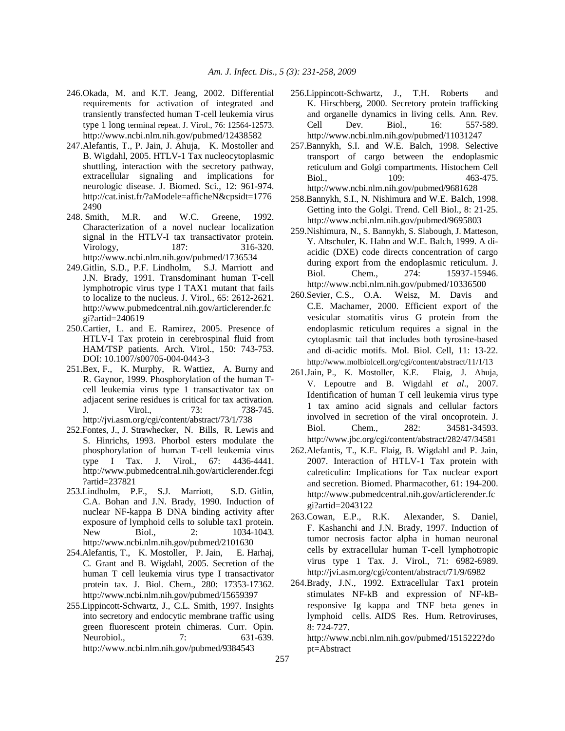- 246.Okada, M. and K.T. Jeang, 2002. Differential requirements for activation of integrated and transiently transfected human T-cell leukemia virus type 1 long terminal repeat. J. Virol., 76: 12564-12573. http://www.ncbi.nlm.nih.gov/pubmed/12438582
- 247.Alefantis, T., P. Jain, J. Ahuja, K. Mostoller and B. Wigdahl, 2005. HTLV-1 Tax nucleocytoplasmic shuttling, interaction with the secretory pathway, extracellular signaling and implications for neurologic disease. J. Biomed. Sci., 12: 961-974. http://cat.inist.fr/?aModele=afficheN&cpsidt=1776 2490
- 248. Smith, M.R. and W.C. Greene, 1992. Characterization of a novel nuclear localization signal in the HTLV-I tax transactivator protein. Virology, 187: 316-320. http://www.ncbi.nlm.nih.gov/pubmed/1736534
- 249.Gitlin, S.D., P.F. Lindholm, S.J. Marriott and J.N. Brady, 1991. Transdominant human T-cell lymphotropic virus type I TAX1 mutant that fails to localize to the nucleus. J. Virol., 65: 2612-2621. http://www.pubmedcentral.nih.gov/articlerender.fc gi?artid=240619
- 250.Cartier, L. and E. Ramirez, 2005. Presence of HTLV-I Tax protein in cerebrospinal fluid from HAM/TSP patients. Arch. Virol., 150: 743-753. DOI: 10.1007/s00705-004-0443-3
- 251.Bex, F., K. Murphy, R. Wattiez, A. Burny and R. Gaynor, 1999. Phosphorylation of the human Tcell leukemia virus type 1 transactivator tax on adjacent serine residues is critical for tax activation. J. Virol., 73: 738-745. http://jvi.asm.org/cgi/content/abstract/73/1/738
- 252.Fontes, J., J. Strawhecker, N. Bills, R. Lewis and S. Hinrichs, 1993. Phorbol esters modulate the phosphorylation of human T-cell leukemia virus type I Tax. J. Virol., 67: 4436-4441. http://www.pubmedcentral.nih.gov/articlerender.fcgi ?artid=237821
- 253.Lindholm, P.F., S.J. Marriott, S.D. Gitlin, C.A. Bohan and J.N. Brady, 1990. Induction of nuclear NF-kappa B DNA binding activity after exposure of lymphoid cells to soluble tax1 protein. New Biol., 2: 1034-1043. http://www.ncbi.nlm.nih.gov/pubmed/2101630
- 254.Alefantis, T., K. Mostoller, P. Jain, E. Harhaj, C. Grant and B. Wigdahl, 2005. Secretion of the human T cell leukemia virus type I transactivator protein tax. J. Biol. Chem., 280: 17353-17362. http://www.ncbi.nlm.nih.gov/pubmed/15659397
- 255.Lippincott-Schwartz, J., C.L. Smith, 1997. Insights into secretory and endocytic membrane traffic using green fluorescent protein chimeras. Curr. Opin. Neurobiol., 7: 631-639. http://www.ncbi.nlm.nih.gov/pubmed/9384543
- 256.Lippincott-Schwartz, J., T.H. Roberts and K. Hirschberg, 2000. Secretory protein trafficking and organelle dynamics in living cells. Ann. Rev. Cell Dev. Biol., 16: 557-589. http://www.ncbi.nlm.nih.gov/pubmed/11031247
- 257.Bannykh, S.I. and W.E. Balch, 1998. Selective transport of cargo between the endoplasmic reticulum and Golgi compartments. Histochem Cell Biol., 109: 463-475. http://www.ncbi.nlm.nih.gov/pubmed/9681628
- 258.Bannykh, S.I., N. Nishimura and W.E. Balch, 1998. Getting into the Golgi. Trend. Cell Biol., 8: 21-25. http://www.ncbi.nlm.nih.gov/pubmed/9695803
- 259.Nishimura, N., S. Bannykh, S. Slabough, J. Matteson, Y. Altschuler, K. Hahn and W.E. Balch, 1999. A diacidic (DXE) code directs concentration of cargo during export from the endoplasmic reticulum. J. Biol. Chem., 274: 15937-15946. http://www.ncbi.nlm.nih.gov/pubmed/10336500
- 260.Sevier, C.S., O.A. Weisz, M. Davis and C.E. Machamer, 2000. Efficient export of the vesicular stomatitis virus G protein from the endoplasmic reticulum requires a signal in the cytoplasmic tail that includes both tyrosine-based and di-acidic motifs. Mol. Biol. Cell, 11: 13-22. http://www.molbiolcell.org/cgi/content/abstract/11/1/13
- 261.Jain, P., K. Mostoller, K.E. Flaig, J. Ahuja, V. Lepoutre and B. Wigdahl *et al*., 2007. Identification of human T cell leukemia virus type 1 tax amino acid signals and cellular factors involved in secretion of the viral oncoprotein. J. Biol. Chem., 282: 34581-34593. http://www.jbc.org/cgi/content/abstract/282/47/34581
- 262.Alefantis, T., K.E. Flaig, B. Wigdahl and P. Jain, 2007. Interaction of HTLV-1 Tax protein with calreticulin: Implications for Tax nuclear export and secretion. Biomed. Pharmacother, 61: 194-200. http://www.pubmedcentral.nih.gov/articlerender.fc gi?artid=2043122
- 263.Cowan, E.P., R.K. Alexander, S. Daniel, F. Kashanchi and J.N. Brady, 1997. Induction of tumor necrosis factor alpha in human neuronal cells by extracellular human T-cell lymphotropic virus type 1 Tax. J. Virol., 71: 6982-6989. http://jvi.asm.org/cgi/content/abstract/71/9/6982
- 264.Brady, J.N., 1992. Extracellular Tax1 protein stimulates NF-kB and expression of NF-kBresponsive Ig kappa and TNF beta genes in lymphoid cells. AIDS Res. Hum. Retroviruses, 8: 724-727.

http://www.ncbi.nlm.nih.gov/pubmed/1515222?do pt=Abstract